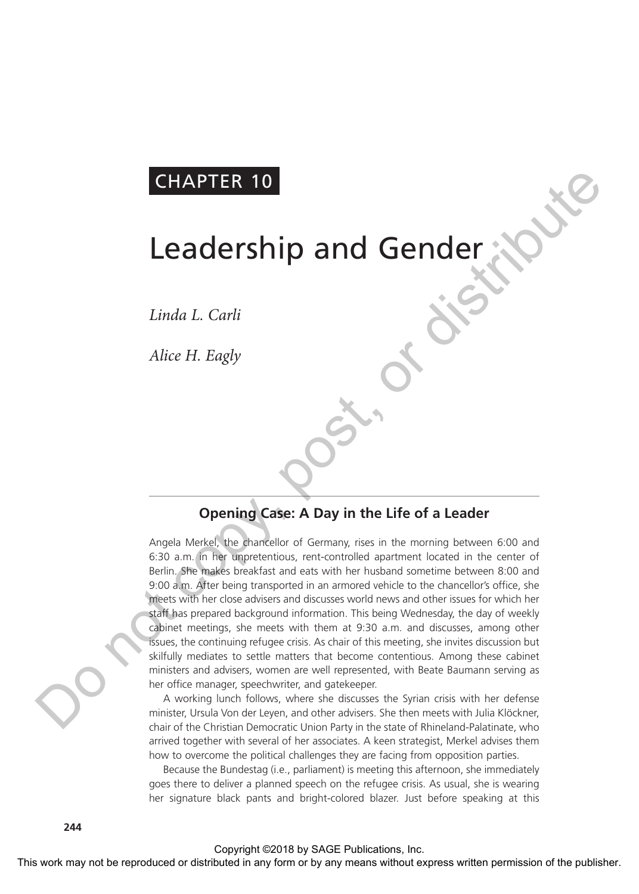# CHAPTER 10

# Leadership and Gender

*Linda L. Carli*

*Alice H. Eagly*

# **Opening Case: A Day in the Life of a Leader**

Angela Merkel, the chancellor of Germany, rises in the morning between 6:00 and 6:30 a.m. in her unpretentious, rent-controlled apartment located in the center of Berlin. She makes breakfast and eats with her husband sometime between 8:00 and 9:00 a.m. After being transported in an armored vehicle to the chancellor's office, she meets with her close advisers and discusses world news and other issues for which her staff has prepared background information. This being Wednesday, the day of weekly cabinet meetings, she meets with them at 9:30 a.m. and discusses, among other issues, the continuing refugee crisis. As chair of this meeting, she invites discussion but skilfully mediates to settle matters that become contentious. Among these cabinet ministers and advisers, women are well represented, with Beate Baumann serving as her office manager, speechwriter, and gatekeeper. **CHAPTER 10**<br>
Linda L. Carli<br>
Alice H. Eagly<br> **Opening Case: A Day in the Life of a Leader**<br>
Apple Markin the Production of Corresponding the publisher of the original permission of the publisher. Apple in any first permi

A working lunch follows, where she discusses the Syrian crisis with her defense minister, Ursula Von der Leyen, and other advisers. She then meets with Julia Klöckner, chair of the Christian Democratic Union Party in the state of Rhineland-Palatinate, who arrived together with several of her associates. A keen strategist, Merkel advises them how to overcome the political challenges they are facing from opposition parties.

Because the Bundestag (i.e., parliament) is meeting this afternoon, she immediately goes there to deliver a planned speech on the refugee crisis. As usual, she is wearing her signature black pants and bright-colored blazer. Just before speaking at this

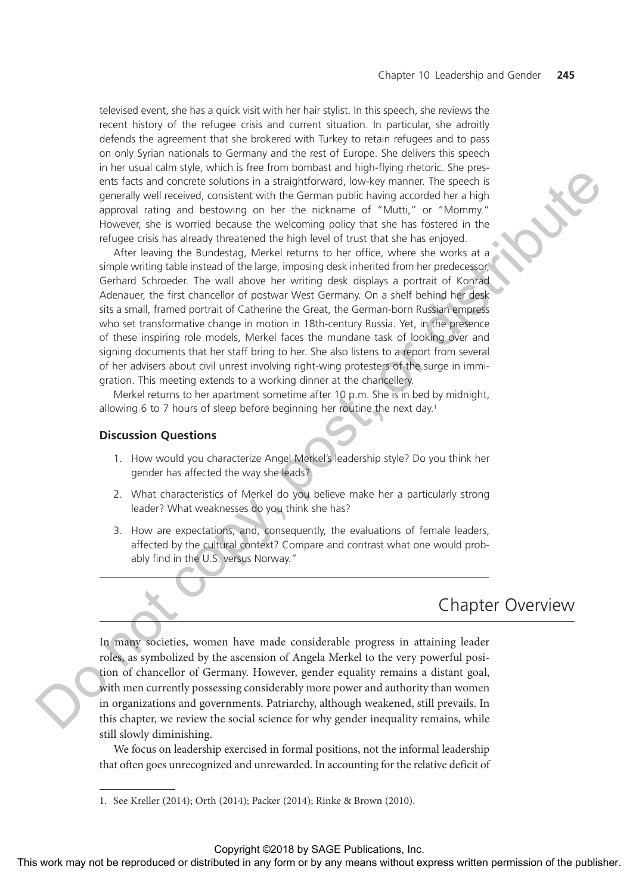televised event, she has a quick visit with her hair stylist. In this speech, she reviews the recent history of the refugee crisis and current situation. In particular, she adroitly defends the agreement that she brokered with Turkey to retain refugees and to pass on only Syrian nationals to Germany and the rest of Europe. She delivers this speech in her usual calm style, which is free from bombast and high-flying rhetoric. She presents facts and concrete solutions in a straightforward, low-key manner. The speech is generally well received, consistent with the German public having accorded her a high approval rating and bestowing on her the nickname of "Mutti," or "Mommy." However, she is worried because the welcoming policy that she has fostered in the refugee crisis has already threatened the high level of trust that she has enjoyed.

After leaving the Bundestag, Merkel returns to her office, where she works at a simple writing table instead of the large, imposing desk inherited from her predecessor, Gerhard Schroeder. The wall above her writing desk displays a portrait of Konrad Adenauer, the first chancellor of postwar West Germany. On a shelf behind her desk sits a small, framed portrait of Catherine the Great, the German-born Russian empress who set transformative change in motion in 18th-century Russia. Yet, in the presence of these inspiring role models, Merkel faces the mundane task of looking over and signing documents that her staff bring to her. She also listens to a report from several of her advisers about civil unrest involving right-wing protesters of the surge in immigration. This meeting extends to a working dinner at the chancellery. The thermal continuous continuous continuous continuous continuous continuous continuous continuous continuous continuous continuous continuous continuous continuous continuous continuous continuous continuous continuous

Merkel returns to her apartment sometime after 10 p.m. She is in bed by midnight, allowing 6 to 7 hours of sleep before beginning her routine the next day.<sup>1</sup>

### **Discussion Questions**

- 1. How would you characterize Angel Merkel's leadership style? Do you think her gender has affected the way she leads?
- 2. What characteristics of Merkel do you believe make her a particularly strong leader? What weaknesses do you think she has?
- 3. How are expectations, and, consequently, the evaluations of female leaders, affected by the cultural context? Compare and contrast what one would probably find in the U.S. versus Norway."

# Chapter Overview

In many societies, women have made considerable progress in attaining leader roles, as symbolized by the ascension of Angela Merkel to the very powerful position of chancellor of Germany. However, gender equality remains a distant goal, with men currently possessing considerably more power and authority than women in organizations and governments. Patriarchy, although weakened, still prevails. In this chapter, we review the social science for why gender inequality remains, while still slowly diminishing.

We focus on leadership exercised in formal positions, not the informal leadership that often goes unrecognized and unrewarded. In accounting for the relative deficit of

<sup>1.</sup> See Kreller (2014); Orth (2014); Packer (2014); Rinke & Brown (2010).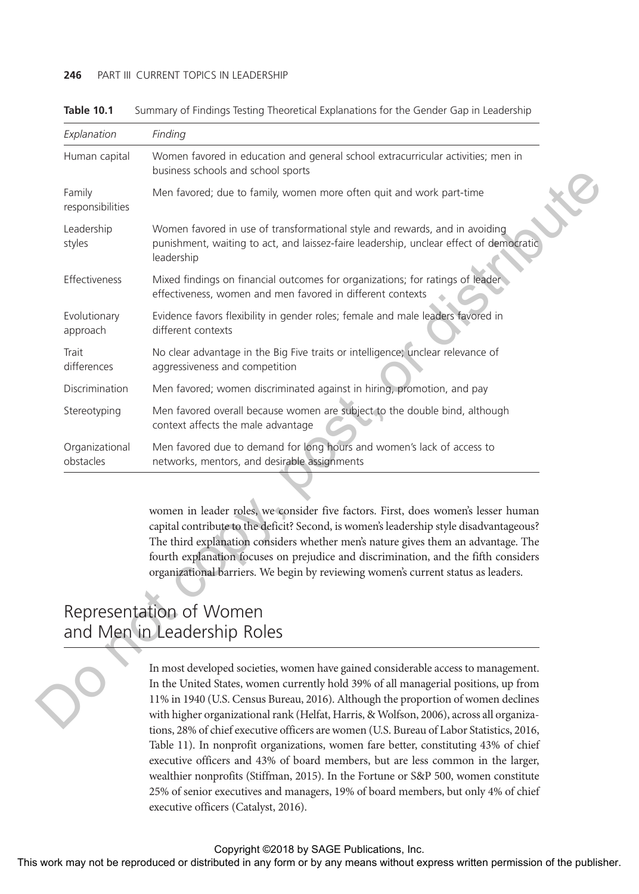### **246** PART III CURRENT TOPICS IN LEADERSHIP

| Human capital               | Finding<br>Women favored in education and general school extracurricular activities; men in                                                                                                                                                                   |
|-----------------------------|---------------------------------------------------------------------------------------------------------------------------------------------------------------------------------------------------------------------------------------------------------------|
|                             | business schools and school sports                                                                                                                                                                                                                            |
| Family<br>responsibilities  | Men favored; due to family, women more often quit and work part-time                                                                                                                                                                                          |
| Leadership<br>styles        | Women favored in use of transformational style and rewards, and in avoiding<br>punishment, waiting to act, and laissez-faire leadership, unclear effect of democratic<br>leadership                                                                           |
| Effectiveness               | Mixed findings on financial outcomes for organizations; for ratings of leader<br>effectiveness, women and men favored in different contexts                                                                                                                   |
| Evolutionary<br>approach    | Evidence favors flexibility in gender roles; female and male leaders favored in<br>different contexts                                                                                                                                                         |
| Trait<br>differences        | No clear advantage in the Big Five traits or intelligence; unclear relevance of<br>aggressiveness and competition                                                                                                                                             |
| Discrimination              | Men favored; women discriminated against in hiring, promotion, and pay                                                                                                                                                                                        |
| Stereotyping                | Men favored overall because women are subject to the double bind, although<br>context affects the male advantage                                                                                                                                              |
| Organizational<br>obstacles | Men favored due to demand for long hours and women's lack of access to<br>networks, mentors, and desirable assignments                                                                                                                                        |
|                             | The third explanation considers whether men's nature gives them an advantage. The<br>fourth explanation focuses on prejudice and discrimination, and the fifth considers<br>organizational barriers. We begin by reviewing women's current status as leaders. |
|                             | Representation of Women                                                                                                                                                                                                                                       |
|                             | and Men in Leadership Roles                                                                                                                                                                                                                                   |

Table 10.1 Summary of Findings Testing Theoretical Explanations for the Gender Gap in Leadership

# Representation of Women and Men in Leadership Roles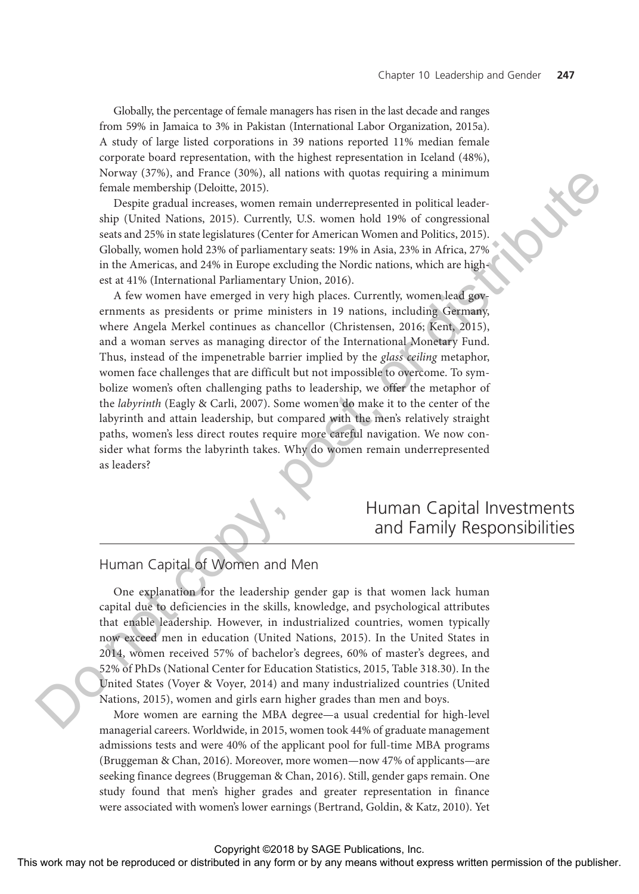Globally, the percentage of female managers has risen in the last decade and ranges from 59% in Jamaica to 3% in Pakistan (International Labor Organization, 2015a). A study of large listed corporations in 39 nations reported 11% median female corporate board representation, with the highest representation in Iceland (48%), Norway (37%), and France (30%), all nations with quotas requiring a minimum female membership (Deloitte, 2015).

Despite gradual increases, women remain underrepresented in political leadership (United Nations, 2015). Currently, U.S. women hold 19% of congressional seats and 25% in state legislatures (Center for American Women and Politics, 2015). Globally, women hold 23% of parliamentary seats: 19% in Asia, 23% in Africa, 27% in the Americas, and 24% in Europe excluding the Nordic nations, which are highest at 41% (International Parliamentary Union, 2016).

A few women have emerged in very high places. Currently, women lead governments as presidents or prime ministers in 19 nations, including Germany, where Angela Merkel continues as chancellor (Christensen, 2016; Kent, 2015), and a woman serves as managing director of the International Monetary Fund. Thus, instead of the impenetrable barrier implied by the *glass ceiling* metaphor, women face challenges that are difficult but not impossible to overcome. To symbolize women's often challenging paths to leadership, we offer the metaphor of the *labyrinth* (Eagly & Carli, 2007). Some women do make it to the center of the labyrinth and attain leadership, but compared with the men's relatively straight paths, women's less direct routes require more careful navigation. We now consider what forms the labyrinth takes. Why do women remain underrepresented as leaders? Never (25), and Frame (360), all the three states with good in any means with the representation in any form or the publisher or the reproduced in any form or by any form or by any form or the publisher. This were also th

# Human Capital Investments and Family Responsibilities

# Human Capital of Women and Men

One explanation for the leadership gender gap is that women lack human capital due to deficiencies in the skills, knowledge, and psychological attributes that enable leadership. However, in industrialized countries, women typically now exceed men in education (United Nations, 2015). In the United States in 2014, women received 57% of bachelor's degrees, 60% of master's degrees, and 52% of PhDs (National Center for Education Statistics, 2015, Table 318.30). In the United States (Voyer & Voyer, 2014) and many industrialized countries (United Nations, 2015), women and girls earn higher grades than men and boys.

More women are earning the MBA degree—a usual credential for high-level managerial careers. Worldwide, in 2015, women took 44% of graduate management admissions tests and were 40% of the applicant pool for full-time MBA programs (Bruggeman & Chan, 2016). Moreover, more women—now 47% of applicants—are seeking finance degrees (Bruggeman & Chan, 2016). Still, gender gaps remain. One study found that men's higher grades and greater representation in finance were associated with women's lower earnings (Bertrand, Goldin, & Katz, 2010). Yet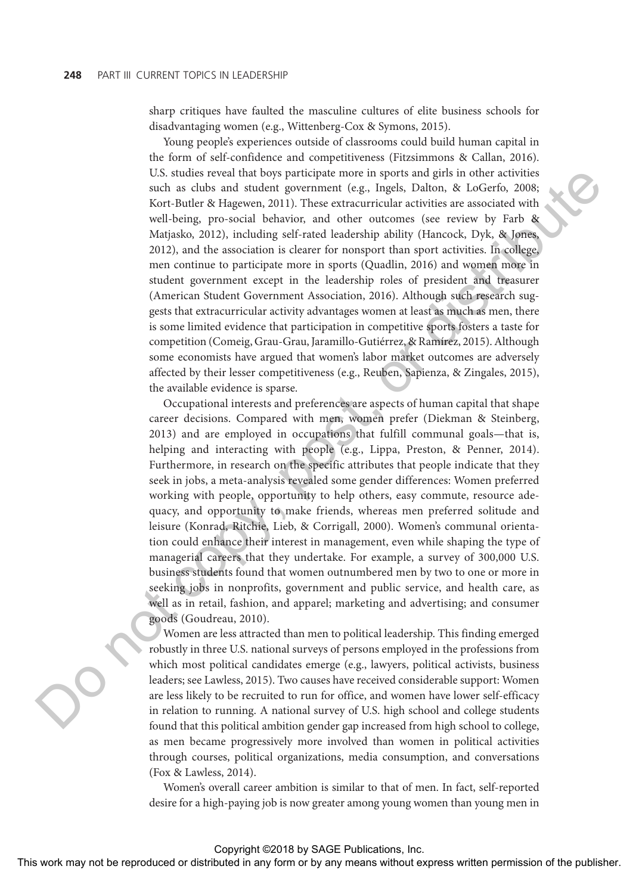sharp critiques have faulted the masculine cultures of elite business schools for disadvantaging women (e.g., Wittenberg-Cox & Symons, 2015).

Young people's experiences outside of classrooms could build human capital in the form of self-confidence and competitiveness (Fitzsimmons & Callan, 2016). U.S. studies reveal that boys participate more in sports and girls in other activities such as clubs and student government (e.g., Ingels, Dalton, & LoGerfo, 2008; Kort-Butler & Hagewen, 2011). These extracurricular activities are associated with well-being, pro-social behavior, and other outcomes (see review by Farb & Matjasko, 2012), including self-rated leadership ability (Hancock, Dyk, & Jones, 2012), and the association is clearer for nonsport than sport activities. In college, men continue to participate more in sports (Quadlin, 2016) and women more in student government except in the leadership roles of president and treasurer (American Student Government Association, 2016). Although such research suggests that extracurricular activity advantages women at least as much as men, there is some limited evidence that participation in competitive sports fosters a taste for competition (Comeig, Grau-Grau, Jaramillo-Gutiérrez, & Ramírez, 2015). Although some economists have argued that women's labor market outcomes are adversely affected by their lesser competitiveness (e.g., Reuben, Sapienza, & Zingales, 2015), the available evidence is sparse. TS. statistics work may not be reproduced to the reproduced or distributed in any form or by any means when the reproduced in any means when the reproduced in any means when the results of the publisher. We also the publi

Occupational interests and preferences are aspects of human capital that shape career decisions. Compared with men, women prefer (Diekman & Steinberg, 2013) and are employed in occupations that fulfill communal goals—that is, helping and interacting with people (e.g., Lippa, Preston, & Penner, 2014). Furthermore, in research on the specific attributes that people indicate that they seek in jobs, a meta-analysis revealed some gender differences: Women preferred working with people, opportunity to help others, easy commute, resource adequacy, and opportunity to make friends, whereas men preferred solitude and leisure (Konrad, Ritchie, Lieb, & Corrigall, 2000). Women's communal orientation could enhance their interest in management, even while shaping the type of managerial careers that they undertake. For example, a survey of 300,000 U.S. business students found that women outnumbered men by two to one or more in seeking jobs in nonprofits, government and public service, and health care, as well as in retail, fashion, and apparel; marketing and advertising; and consumer goods (Goudreau, 2010).

Women are less attracted than men to political leadership. This finding emerged robustly in three U.S. national surveys of persons employed in the professions from which most political candidates emerge (e.g., lawyers, political activists, business leaders; see Lawless, 2015). Two causes have received considerable support: Women are less likely to be recruited to run for office, and women have lower self-efficacy in relation to running. A national survey of U.S. high school and college students found that this political ambition gender gap increased from high school to college, as men became progressively more involved than women in political activities through courses, political organizations, media consumption, and conversations (Fox & Lawless, 2014).

Women's overall career ambition is similar to that of men. In fact, self-reported desire for a high-paying job is now greater among young women than young men in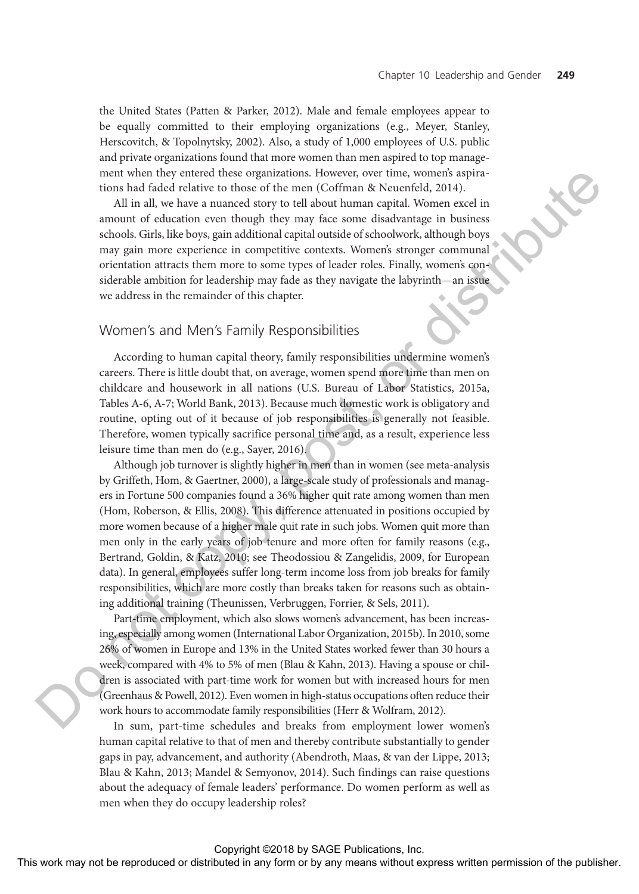the United States (Patten & Parker, 2012). Male and female employees appear to be equally committed to their employing organizations (e.g., Meyer, Stanley, Herscovitch, & Topolnytsky, 2002). Also, a study of 1,000 employees of U.S. public and private organizations found that more women than men aspired to top management when they entered these organizations. However, over time, women's aspirations had faded relative to those of the men (Coffman & Neuenfeld, 2014).

All in all, we have a nuanced story to tell about human capital. Women excel in amount of education even though they may face some disadvantage in business schools. Girls, like boys, gain additional capital outside of schoolwork, although boys may gain more experience in competitive contexts. Women's stronger communal orientation attracts them more to some types of leader roles. Finally, women's considerable ambition for leadership may fade as they navigate the labyrinth—an issue we address in the remainder of this chapter.

### Women's and Men's Family Responsibilities

According to human capital theory, family responsibilities undermine women's careers. There is little doubt that, on average, women spend more time than men on childcare and housework in all nations (U.S. Bureau of Labor Statistics, 2015a, Tables A-6, A-7; World Bank, 2013). Because much domestic work is obligatory and routine, opting out of it because of job responsibilities is generally not feasible. Therefore, women typically sacrifice personal time and, as a result, experience less leisure time than men do (e.g., Sayer, 2016).

Although job turnover is slightly higher in men than in women (see meta-analysis by Griffeth, Hom, & Gaertner, 2000), a large-scale study of professionals and managers in Fortune 500 companies found a 36% higher quit rate among women than men (Hom, Roberson, & Ellis, 2008). This difference attenuated in positions occupied by more women because of a higher male quit rate in such jobs. Women quit more than men only in the early years of job tenure and more often for family reasons (e.g., Bertrand, Goldin, & Katz, 2010; see Theodossiou & Zangelidis, 2009, for European data). In general, employees suffer long-term income loss from job breaks for family responsibilities, which are more costly than breaks taken for reasons such as obtaining additional training (Theunissen, Verbruggen, Forrier, & Sels, 2011). The transmitted in any fit of the reproduced or distributed in any fit of the reproduced or distributed in any form or by any means we are allowed by any means we are allowed by any means we are allowed by any means we ar

Part-time employment, which also slows women's advancement, has been increasing, especially among women (International Labor Organization, 2015b). In 2010, some 26% of women in Europe and 13% in the United States worked fewer than 30 hours a week, compared with 4% to 5% of men (Blau & Kahn, 2013). Having a spouse or children is associated with part-time work for women but with increased hours for men (Greenhaus & Powell, 2012). Even women in high-status occupations often reduce their work hours to accommodate family responsibilities (Herr & Wolfram, 2012).

In sum, part-time schedules and breaks from employment lower women's human capital relative to that of men and thereby contribute substantially to gender gaps in pay, advancement, and authority (Abendroth, Maas, & van der Lippe, 2013; Blau & Kahn, 2013; Mandel & Semyonov, 2014). Such findings can raise questions about the adequacy of female leaders' performance. Do women perform as well as men when they do occupy leadership roles?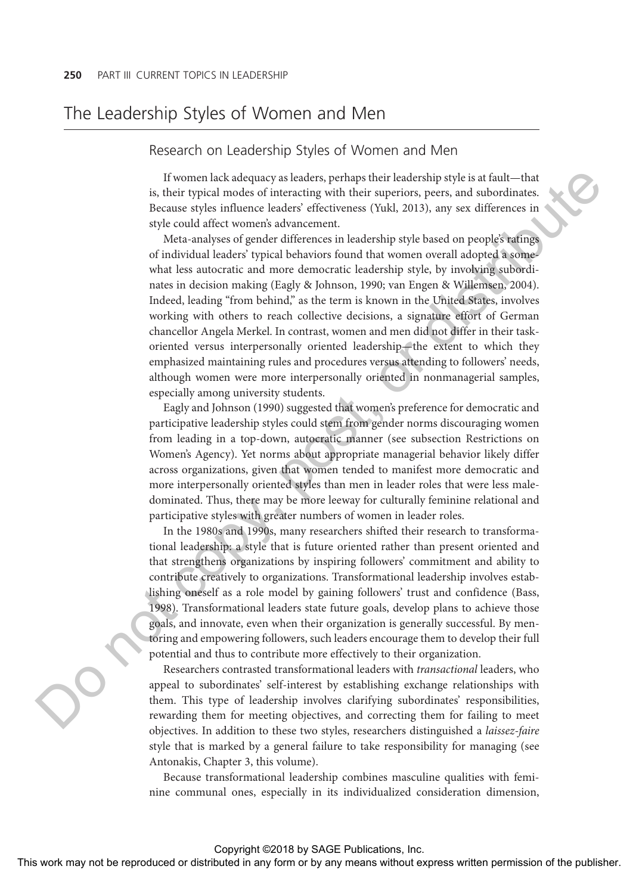# The Leadership Styles of Women and Men

# Research on Leadership Styles of Women and Men

If women lack adequacy as leaders, perhaps their leadership style is at fault—that is, their typical modes of interacting with their superiors, peers, and subordinates. Because styles influence leaders' effectiveness (Yukl, 2013), any sex differences in style could affect women's advancement.

Meta-analyses of gender differences in leadership style based on people's ratings of individual leaders' typical behaviors found that women overall adopted a somewhat less autocratic and more democratic leadership style, by involving subordinates in decision making (Eagly & Johnson, 1990; van Engen & Willemsen, 2004). Indeed, leading "from behind," as the term is known in the United States, involves working with others to reach collective decisions, a signature effort of German chancellor Angela Merkel. In contrast, women and men did not differ in their taskoriented versus interpersonally oriented leadership—the extent to which they emphasized maintaining rules and procedures versus attending to followers' needs, although women were more interpersonally oriented in nonmanagerial samples, especially among university students. The mean is a top-down any means with the result of the relationship specified in any form or by an any form of the results of the relationship of the relationship is a control of the relationship is a computed in the rel

Eagly and Johnson (1990) suggested that women's preference for democratic and participative leadership styles could stem from gender norms discouraging women from leading in a top-down, autocratic manner (see subsection Restrictions on Women's Agency). Yet norms about appropriate managerial behavior likely differ across organizations, given that women tended to manifest more democratic and more interpersonally oriented styles than men in leader roles that were less maledominated. Thus, there may be more leeway for culturally feminine relational and participative styles with greater numbers of women in leader roles.

In the 1980s and 1990s, many researchers shifted their research to transformational leadership: a style that is future oriented rather than present oriented and that strengthens organizations by inspiring followers' commitment and ability to contribute creatively to organizations. Transformational leadership involves establishing oneself as a role model by gaining followers' trust and confidence (Bass, 1998). Transformational leaders state future goals, develop plans to achieve those goals, and innovate, even when their organization is generally successful. By mentoring and empowering followers, such leaders encourage them to develop their full potential and thus to contribute more effectively to their organization.

Researchers contrasted transformational leaders with *transactional* leaders, who appeal to subordinates' self-interest by establishing exchange relationships with them. This type of leadership involves clarifying subordinates' responsibilities, rewarding them for meeting objectives, and correcting them for failing to meet objectives. In addition to these two styles, researchers distinguished a *laissez-faire*  style that is marked by a general failure to take responsibility for managing (see Antonakis, Chapter 3, this volume).

Because transformational leadership combines masculine qualities with feminine communal ones, especially in its individualized consideration dimension,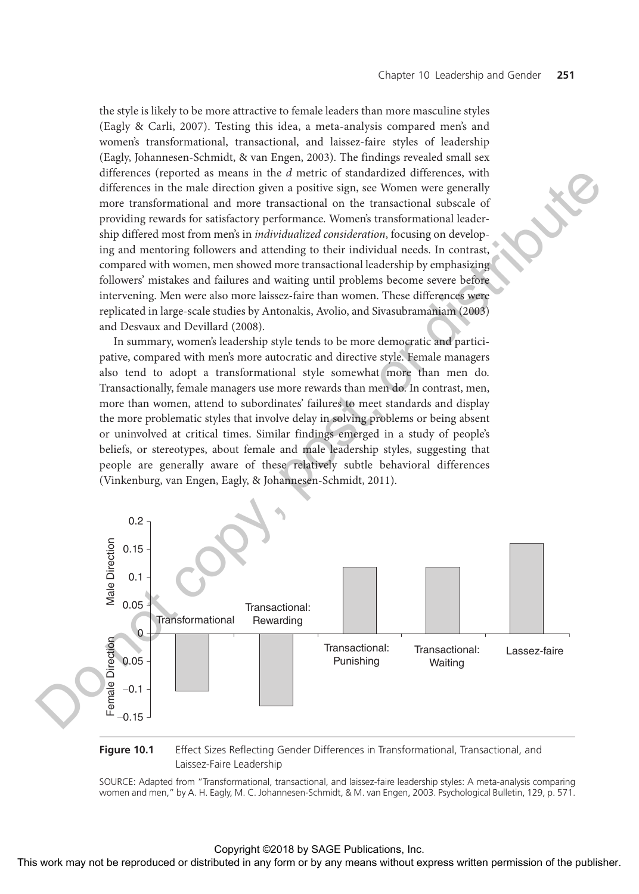the style is likely to be more attractive to female leaders than more masculine styles (Eagly & Carli, 2007). Testing this idea, a meta-analysis compared men's and women's transformational, transactional, and laissez-faire styles of leadership (Eagly, Johannesen-Schmidt, & van Engen, 2003). The findings revealed small sex differences (reported as means in the *d* metric of standardized differences, with differences in the male direction given a positive sign, see Women were generally more transformational and more transactional on the transactional subscale of providing rewards for satisfactory performance. Women's transformational leadership differed most from men's in *individualized consideration*, focusing on developing and mentoring followers and attending to their individual needs. In contrast, compared with women, men showed more transactional leadership by emphasizing followers' mistakes and failures and waiting until problems become severe before intervening. Men were also more laissez-faire than women. These differences were replicated in large-scale studies by Antonakis, Avolio, and Sivasubramaniam (2003) and Desvaux and Devillard (2008).

In summary, women's leadership style tends to be more democratic and participative, compared with men's more autocratic and directive style. Female managers also tend to adopt a transformational style somewhat more than men do. Transactionally, female managers use more rewards than men do. In contrast, men, more than women, attend to subordinates' failures to meet standards and display the more problematic styles that involve delay in solving problems or being absent or uninvolved at critical times. Similar findings emerged in a study of people's beliefs, or stereotypes, about female and male leadership styles, suggesting that people are generally aware of these relatively subtle behavioral differences (Vinkenburg, van Engen, Eagly, & Johannesen-Schmidt, 2011).



### **Figure 10.1** Effect Sizes Reflecting Gender Differences in Transformational, Transactional, and Laissez-Faire Leadership

SOURCE: Adapted from "Transformational, transactional, and laissez-faire leadership styles: A meta-analysis comparing women and men," by A. H. Eagly, M. C. Johannesen-Schmidt, & M. van Engen, 2003. Psychological Bulletin, 129, p. 571.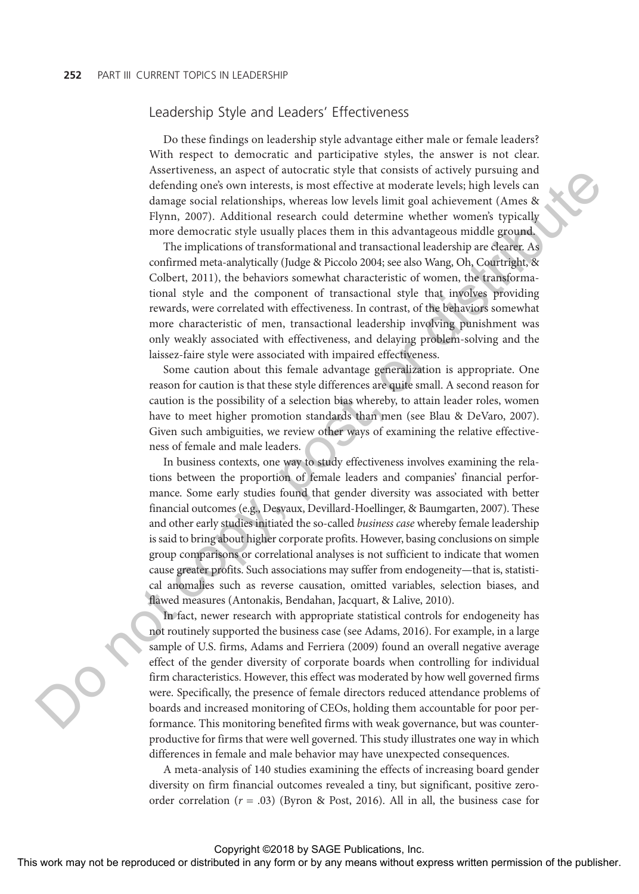# Leadership Style and Leaders' Effectiveness

Do these findings on leadership style advantage either male or female leaders? With respect to democratic and participative styles, the answer is not clear. Assertiveness, an aspect of autocratic style that consists of actively pursuing and defending one's own interests, is most effective at moderate levels; high levels can damage social relationships, whereas low levels limit goal achievement (Ames & Flynn, 2007). Additional research could determine whether women's typically more democratic style usually places them in this advantageous middle ground.

The implications of transformational and transactional leadership are clearer. As confirmed meta-analytically (Judge & Piccolo 2004; see also Wang, Oh, Courtright, & Colbert, 2011), the behaviors somewhat characteristic of women, the transformational style and the component of transactional style that involves providing rewards, were correlated with effectiveness. In contrast, of the behaviors somewhat more characteristic of men, transactional leadership involving punishment was only weakly associated with effectiveness, and delaying problem-solving and the laissez-faire style were associated with impaired effectiveness.

Some caution about this female advantage generalization is appropriate. One reason for caution is that these style differences are quite small. A second reason for caution is the possibility of a selection bias whereby, to attain leader roles, women have to meet higher promotion standards than men (see Blau & DeVaro, 2007). Given such ambiguities, we review other ways of examining the relative effectiveness of female and male leaders.

In business contexts, one way to study effectiveness involves examining the relations between the proportion of female leaders and companies' financial performance. Some early studies found that gender diversity was associated with better financial outcomes (e.g., Desvaux, Devillard-Hoellinger, & Baumgarten, 2007). These and other early studies initiated the so-called *business case* whereby female leadership is said to bring about higher corporate profits. However, basing conclusions on simple group comparisons or correlational analyses is not sufficient to indicate that women cause greater profits. Such associations may suffer from endogeneity—that is, statistical anomalies such as reverse causation, omitted variables, selection biases, and flawed measures (Antonakis, Bendahan, Jacquart, & Lalive, 2010).

In fact, newer research with appropriate statistical controls for endogeneity has not routinely supported the business case (see Adams, 2016). For example, in a large sample of U.S. firms, Adams and Ferriera (2009) found an overall negative average effect of the gender diversity of corporate boards when controlling for individual firm characteristics. However, this effect was moderated by how well governed firms were. Specifically, the presence of female directors reduced attendance problems of boards and increased monitoring of CEOs, holding them accountable for poor performance. This monitoring benefited firms with weak governance, but was counterproductive for firms that were well governed. This study illustrates one way in which differences in female and male behavior may have unexpected consequences. Assements, the representation of the representation of the reproduced or the reproduced in any means when the reproduced or the publisher of the publisher of the reproduced or the publisher. The publisher and the reproduc

A meta-analysis of 140 studies examining the effects of increasing board gender diversity on firm financial outcomes revealed a tiny, but significant, positive zeroorder correlation  $(r = .03)$  (Byron & Post, 2016). All in all, the business case for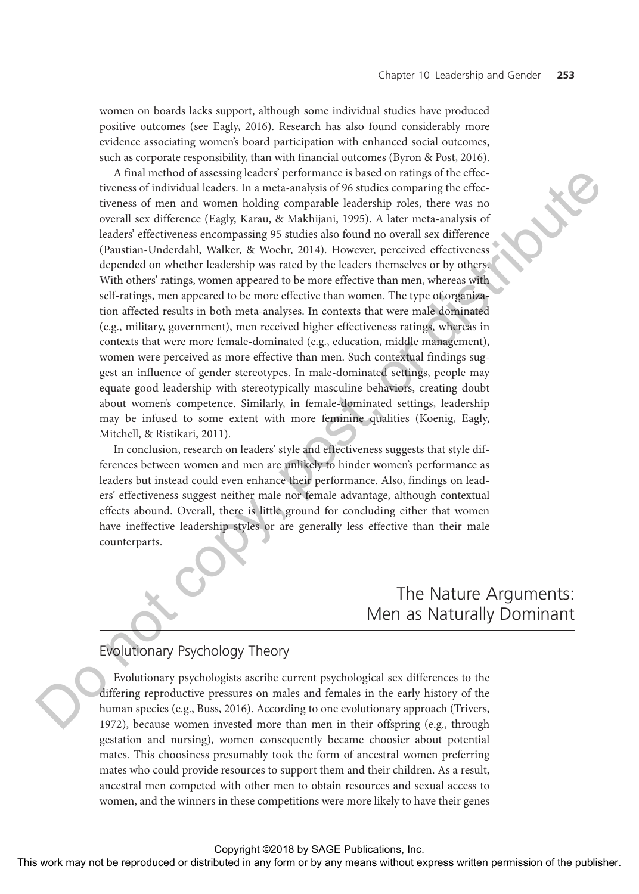women on boards lacks support, although some individual studies have produced positive outcomes (see Eagly, 2016). Research has also found considerably more evidence associating women's board participation with enhanced social outcomes, such as corporate responsibility, than with financial outcomes (Byron & Post, 2016).

A final method of assessing leaders' performance is based on ratings of the effectiveness of individual leaders. In a meta-analysis of 96 studies comparing the effectiveness of men and women holding comparable leadership roles, there was no overall sex difference (Eagly, Karau, & Makhijani, 1995). A later meta-analysis of leaders' effectiveness encompassing 95 studies also found no overall sex difference (Paustian-Underdahl, Walker, & Woehr, 2014). However, perceived effectiveness depended on whether leadership was rated by the leaders themselves or by others. With others' ratings, women appeared to be more effective than men, whereas with self-ratings, men appeared to be more effective than women. The type of organization affected results in both meta-analyses. In contexts that were male dominated (e.g., military, government), men received higher effectiveness ratings, whereas in contexts that were more female-dominated (e.g., education, middle management), women were perceived as more effective than men. Such contextual findings suggest an influence of gender stereotypes. In male-dominated settings, people may equate good leadership with stereotypically masculine behaviors, creating doubt about women's competence. Similarly, in female-dominated settings, leadership may be infused to some extent with more feminine qualities (Koenig, Eagly, Mitchell, & Ristikari, 2011). This work may not be repressed to the repressed or distributed or distributed or distributed or distributed in any means to the reproduced or distributed in any means to the publisher. This were complete the publisher of

In conclusion, research on leaders' style and effectiveness suggests that style differences between women and men are unlikely to hinder women's performance as leaders but instead could even enhance their performance. Also, findings on leaders' effectiveness suggest neither male nor female advantage, although contextual effects abound. Overall, there is little ground for concluding either that women have ineffective leadership styles or are generally less effective than their male counterparts.

# The Nature Arguments: Men as Naturally Dominant

# Evolutionary Psychology Theory

Evolutionary psychologists ascribe current psychological sex differences to the differing reproductive pressures on males and females in the early history of the human species (e.g., Buss, 2016). According to one evolutionary approach (Trivers, 1972), because women invested more than men in their offspring (e.g., through gestation and nursing), women consequently became choosier about potential mates. This choosiness presumably took the form of ancestral women preferring mates who could provide resources to support them and their children. As a result, ancestral men competed with other men to obtain resources and sexual access to women, and the winners in these competitions were more likely to have their genes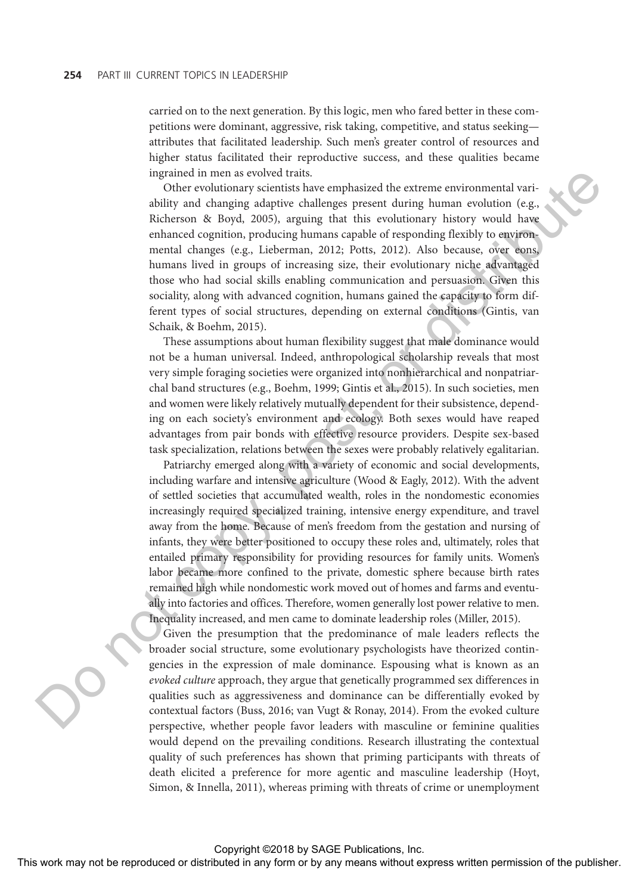carried on to the next generation. By this logic, men who fared better in these competitions were dominant, aggressive, risk taking, competitive, and status seeking attributes that facilitated leadership. Such men's greater control of resources and higher status facilitated their reproductive success, and these qualities became ingrained in men as evolved traits.

Other evolutionary scientists have emphasized the extreme environmental variability and changing adaptive challenges present during human evolution (e.g., Richerson & Boyd, 2005), arguing that this evolutionary history would have enhanced cognition, producing humans capable of responding flexibly to environmental changes (e.g., Lieberman, 2012; Potts, 2012). Also because, over eons, humans lived in groups of increasing size, their evolutionary niche advantaged those who had social skills enabling communication and persuasion. Given this sociality, along with advanced cognition, humans gained the capacity to form different types of social structures, depending on external conditions (Gintis, van Schaik, & Boehm, 2015).

These assumptions about human flexibility suggest that male dominance would not be a human universal. Indeed, anthropological scholarship reveals that most very simple foraging societies were organized into nonhierarchical and nonpatriarchal band structures (e.g., Boehm, 1999; Gintis et al., 2015). In such societies, men and women were likely relatively mutually dependent for their subsistence, depending on each society's environment and ecology. Both sexes would have reaped advantages from pair bonds with effective resource providers. Despite sex-based task specialization, relations between the sexes were probably relatively egalitarian.

Patriarchy emerged along with a variety of economic and social developments, including warfare and intensive agriculture (Wood & Eagly, 2012). With the advent of settled societies that accumulated wealth, roles in the nondomestic economies increasingly required specialized training, intensive energy expenditure, and travel away from the home. Because of men's freedom from the gestation and nursing of infants, they were better positioned to occupy these roles and, ultimately, roles that entailed primary responsibility for providing resources for family units. Women's labor became more confined to the private, domestic sphere because birth rates remained high while nondomestic work moved out of homes and farms and eventually into factories and offices. Therefore, women generally lost power relative to men. Inequality increased, and men came to dominate leadership roles (Miller, 2015).

Given the presumption that the predominance of male leaders reflects the broader social structure, some evolutionary psychologists have theorized contingencies in the expression of male dominance. Espousing what is known as an *evoked culture* approach, they argue that genetically programmed sex differences in qualities such as aggressiveness and dominance can be differentially evoked by contextual factors (Buss, 2016; van Vugt & Ronay, 2014). From the evoked culture perspective, whether people favor leaders with masculine or feminine qualities would depend on the prevailing conditions. Research illustrating the contextual quality of such preferences has shown that priming participants with threats of death elicited a preference for more agentic and masculine leadership (Hoyt, Simon, & Innella, 2011), whereas priming with threats of crime or unemployment The publisherial or the reproduced or distributed in any form or by any means with the reproduced or distributed in any means with the any means with the angle of the publisher of the publisher. This we are also the publi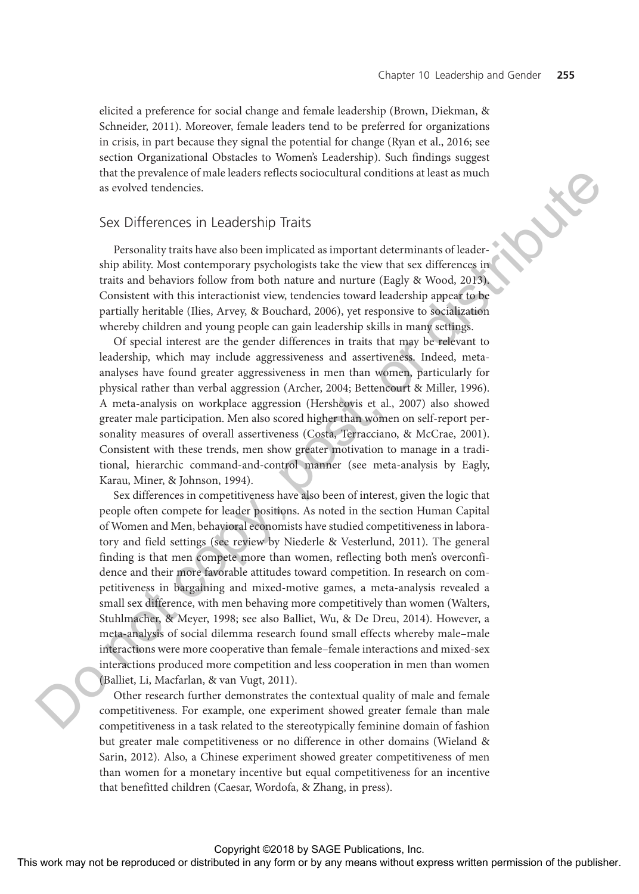elicited a preference for social change and female leadership (Brown, Diekman, & Schneider, 2011). Moreover, female leaders tend to be preferred for organizations in crisis, in part because they signal the potential for change (Ryan et al., 2016; see section Organizational Obstacles to Women's Leadership). Such findings suggest that the prevalence of male leaders reflects sociocultural conditions at least as much as evolved tendencies.

# Sex Differences in Leadership Traits

Personality traits have also been implicated as important determinants of leadership ability. Most contemporary psychologists take the view that sex differences in traits and behaviors follow from both nature and nurture (Eagly & Wood, 2013). Consistent with this interactionist view, tendencies toward leadership appear to be partially heritable (Ilies, Arvey, & Bouchard, 2006), yet responsive to socialization whereby children and young people can gain leadership skills in many settings.

Of special interest are the gender differences in traits that may be relevant to leadership, which may include aggressiveness and assertiveness. Indeed, metaanalyses have found greater aggressiveness in men than women, particularly for physical rather than verbal aggression (Archer, 2004; Bettencourt & Miller, 1996). A meta-analysis on workplace aggression (Hershcovis et al., 2007) also showed greater male participation. Men also scored higher than women on self-report personality measures of overall assertiveness (Costa, Terracciano, & McCrae, 2001). Consistent with these trends, men show greater motivation to manage in a traditional, hierarchic command-and-control manner (see meta-analysis by Eagly, Karau, Miner, & Johnson, 1994).

Sex differences in competitiveness have also been of interest, given the logic that people often compete for leader positions. As noted in the section Human Capital of Women and Men, behavioral economists have studied competitiveness in laboratory and field settings (see review by Niederle & Vesterlund, 2011). The general finding is that men compete more than women, reflecting both men's overconfidence and their more favorable attitudes toward competition. In research on competitiveness in bargaining and mixed-motive games, a meta-analysis revealed a small sex difference, with men behaving more competitively than women (Walters, Stuhlmacher, & Meyer, 1998; see also Balliet, Wu, & De Dreu, 2014). However, a meta-analysis of social dilemma research found small effects whereby male–male interactions were more cooperative than female–female interactions and mixed-sex interactions produced more competition and less cooperation in men than women (Balliet, Li, Macfarlan, & van Vugt, 2011). The repression or the repression or distributed in any methods of the repression of the publisher or distributed in any means we are the result of the publisher of the publisher of the publisher of the publisher of the pu

Other research further demonstrates the contextual quality of male and female competitiveness. For example, one experiment showed greater female than male competitiveness in a task related to the stereotypically feminine domain of fashion but greater male competitiveness or no difference in other domains (Wieland & Sarin, 2012). Also, a Chinese experiment showed greater competitiveness of men than women for a monetary incentive but equal competitiveness for an incentive that benefitted children (Caesar, Wordofa, & Zhang, in press).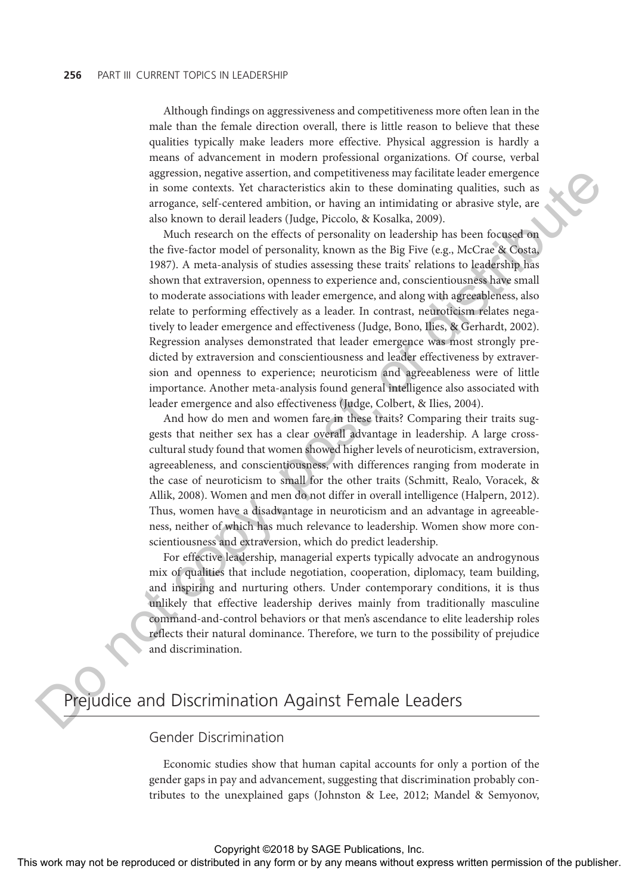Although findings on aggressiveness and competitiveness more often lean in the male than the female direction overall, there is little reason to believe that these qualities typically make leaders more effective. Physical aggression is hardly a means of advancement in modern professional organizations. Of course, verbal aggression, negative assertion, and competitiveness may facilitate leader emergence in some contexts. Yet characteristics akin to these dominating qualities, such as arrogance, self-centered ambition, or having an intimidating or abrasive style, are also known to derail leaders (Judge, Piccolo, & Kosalka, 2009).

Much research on the effects of personality on leadership has been focused on the five-factor model of personality, known as the Big Five (e.g., McCrae & Costa, 1987). A meta-analysis of studies assessing these traits' relations to leadership has shown that extraversion, openness to experience and, conscientiousness have small to moderate associations with leader emergence, and along with agreeableness, also relate to performing effectively as a leader. In contrast, neuroticism relates negatively to leader emergence and effectiveness (Judge, Bono, Ilies, & Gerhardt, 2002). Regression analyses demonstrated that leader emergence was most strongly predicted by extraversion and conscientiousness and leader effectiveness by extraversion and openness to experience; neuroticism and agreeableness were of little importance. Another meta-analysis found general intelligence also associated with leader emergence and also effectiveness (Judge, Colbert, & Ilies, 2004). ng mean that means we consider the rest or distributed in any form or by any means with the reproduced or distributed in any form or by any means with the publisher of the publisher or distributed in any form or between

And how do men and women fare in these traits? Comparing their traits suggests that neither sex has a clear overall advantage in leadership. A large crosscultural study found that women showed higher levels of neuroticism, extraversion, agreeableness, and conscientiousness, with differences ranging from moderate in the case of neuroticism to small for the other traits (Schmitt, Realo, Voracek, & Allik, 2008). Women and men do not differ in overall intelligence (Halpern, 2012). Thus, women have a disadvantage in neuroticism and an advantage in agreeableness, neither of which has much relevance to leadership. Women show more conscientiousness and extraversion, which do predict leadership.

For effective leadership, managerial experts typically advocate an androgynous mix of qualities that include negotiation, cooperation, diplomacy, team building, and inspiring and nurturing others. Under contemporary conditions, it is thus unlikely that effective leadership derives mainly from traditionally masculine command-and-control behaviors or that men's ascendance to elite leadership roles reflects their natural dominance. Therefore, we turn to the possibility of prejudice and discrimination.

# Prejudice and Discrimination Against Female Leaders

# Gender Discrimination

Economic studies show that human capital accounts for only a portion of the gender gaps in pay and advancement, suggesting that discrimination probably contributes to the unexplained gaps (Johnston & Lee, 2012; Mandel & Semyonov,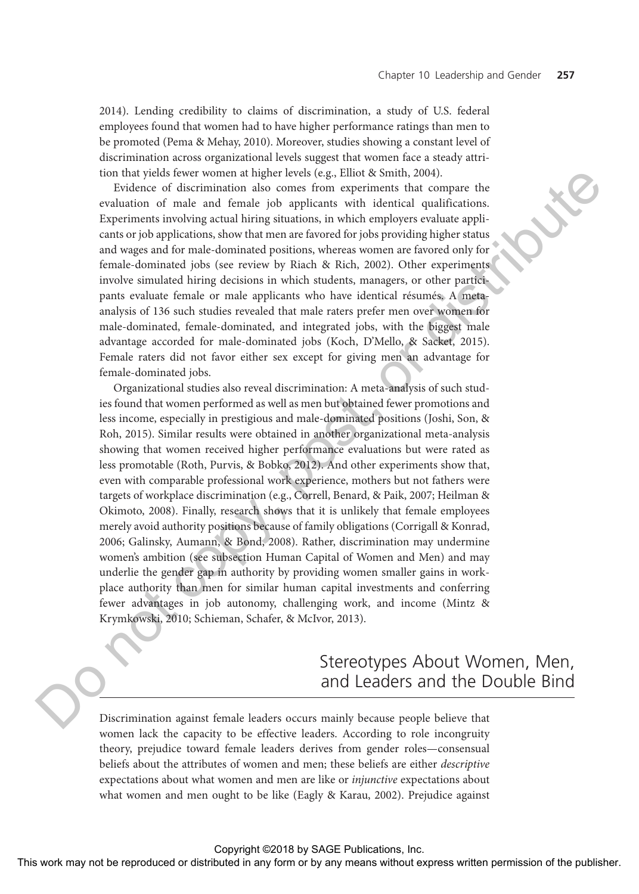2014). Lending credibility to claims of discrimination, a study of U.S. federal employees found that women had to have higher performance ratings than men to be promoted (Pema & Mehay, 2010). Moreover, studies showing a constant level of discrimination across organizational levels suggest that women face a steady attrition that yields fewer women at higher levels (e.g., Elliot & Smith, 2004).

Evidence of discrimination also comes from experiments that compare the evaluation of male and female job applicants with identical qualifications. Experiments involving actual hiring situations, in which employers evaluate applicants or job applications, show that men are favored for jobs providing higher status and wages and for male-dominated positions, whereas women are favored only for female-dominated jobs (see review by Riach & Rich, 2002). Other experiments involve simulated hiring decisions in which students, managers, or other participants evaluate female or male applicants who have identical résumés. A metaanalysis of 136 such studies revealed that male raters prefer men over women for male-dominated, female-dominated, and integrated jobs, with the biggest male advantage accorded for male-dominated jobs (Koch, D'Mello, & Sacket, 2015). Female raters did not favor either sex except for giving men an advantage for female-dominated jobs.

Organizational studies also reveal discrimination: A meta-analysis of such studies found that women performed as well as men but obtained fewer promotions and less income, especially in prestigious and male-dominated positions (Joshi, Son, & Roh, 2015). Similar results were obtained in another organizational meta-analysis showing that women received higher performance evaluations but were rated as less promotable (Roth, Purvis, & Bobko, 2012). And other experiments show that, even with comparable professional work experience, mothers but not fathers were targets of workplace discrimination (e.g., Correll, Benard, & Paik, 2007; Heilman & Okimoto, 2008). Finally, research shows that it is unlikely that female employees merely avoid authority positions because of family obligations (Corrigall & Konrad, 2006; Galinsky, Aumann, & Bond, 2008). Rather, discrimination may undermine women's ambition (see subsection Human Capital of Women and Men) and may underlie the gender gap in authority by providing women smaller gains in workplace authority than men for similar human capital investments and conferring fewer advantages in job autonomy, challenging work, and income (Mintz & Krymkowski, 2010; Schieman, Schafer, & McIvor, 2013). This may not be represented or the results of Social Society and the representation of the reproduced or distributed in any form or by any form or by any form or by any form or by any form or by any form or by any form or

# Stereotypes About Women, Men, and Leaders and the Double Bind

Discrimination against female leaders occurs mainly because people believe that women lack the capacity to be effective leaders. According to role incongruity theory, prejudice toward female leaders derives from gender roles—consensual beliefs about the attributes of women and men; these beliefs are either *descriptive*  expectations about what women and men are like or *injunctive* expectations about what women and men ought to be like (Eagly & Karau, 2002). Prejudice against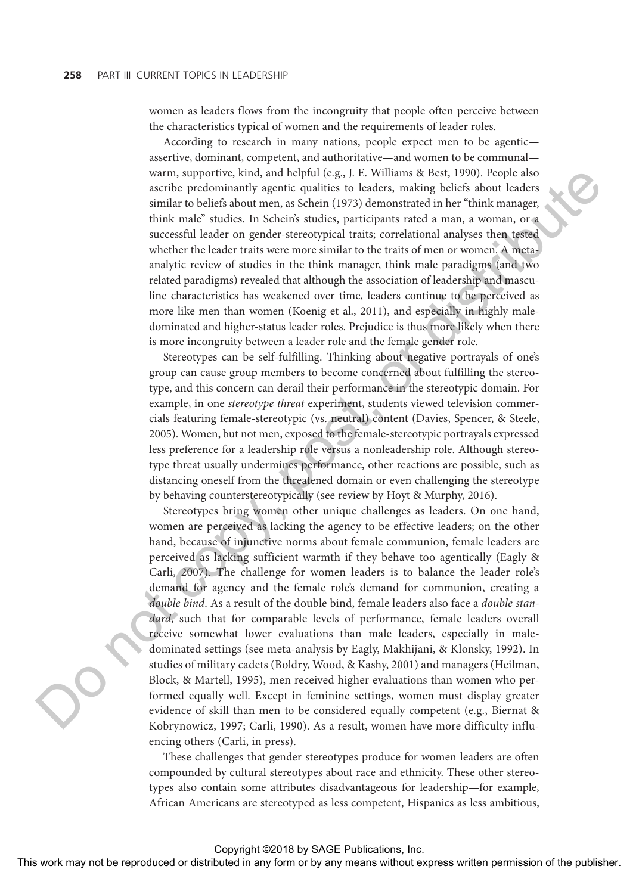women as leaders flows from the incongruity that people often perceive between the characteristics typical of women and the requirements of leader roles.

According to research in many nations, people expect men to be agentic assertive, dominant, competent, and authoritative—and women to be communal warm, supportive, kind, and helpful (e.g., J. E. Williams & Best, 1990). People also ascribe predominantly agentic qualities to leaders, making beliefs about leaders similar to beliefs about men, as Schein (1973) demonstrated in her "think manager, think male" studies. In Schein's studies, participants rated a man, a woman, or a successful leader on gender-stereotypical traits; correlational analyses then tested whether the leader traits were more similar to the traits of men or women. A metaanalytic review of studies in the think manager, think male paradigms (and two related paradigms) revealed that although the association of leadership and masculine characteristics has weakened over time, leaders continue to be perceived as more like men than women (Koenig et al., 2011), and especially in highly maledominated and higher-status leader roles. Prejudice is thus more likely when there is more incongruity between a leader role and the female gender role.

Stereotypes can be self-fulfilling. Thinking about negative portrayals of one's group can cause group members to become concerned about fulfilling the stereotype, and this concern can derail their performance in the stereotypic domain. For example, in one *stereotype threat* experiment, students viewed television commercials featuring female-stereotypic (vs. neutral) content (Davies, Spencer, & Steele, 2005). Women, but not men, exposed to the female-stereotypic portrayals expressed less preference for a leadership role versus a nonleadership role. Although stereotype threat usually undermines performance, other reactions are possible, such as distancing oneself from the threatened domain or even challenging the stereotype by behaving counterstereotypically (see review by Hoyt & Murphy, 2016).

Stereotypes bring women other unique challenges as leaders. On one hand, women are perceived as lacking the agency to be effective leaders; on the other hand, because of injunctive norms about female communion, female leaders are perceived as lacking sufficient warmth if they behave too agentically (Eagly & Carli, 2007). The challenge for women leaders is to balance the leader role's demand for agency and the female role's demand for communion, creating a *double bind*. As a result of the double bind, female leaders also face a *double standard*, such that for comparable levels of performance, female leaders overall receive somewhat lower evaluations than male leaders, especially in maledominated settings (see meta-analysis by Eagly, Makhijani, & Klonsky, 1992). In studies of military cadets (Boldry, Wood, & Kashy, 2001) and managers (Heilman, Block, & Martell, 1995), men received higher evaluations than women who performed equally well. Except in feminine settings, women must display greater evidence of skill than men to be considered equally competent (e.g., Biernat & Kobrynowicz, 1997; Carli, 1990). As a result, women have more difficulty influencing others (Carli, in press). The may approved by the relationship or the relationship and the relationship and the relationship and the relationship and the relationship and the relationship and the relationship and the relationship and the relation

These challenges that gender stereotypes produce for women leaders are often compounded by cultural stereotypes about race and ethnicity. These other stereotypes also contain some attributes disadvantageous for leadership—for example, African Americans are stereotyped as less competent, Hispanics as less ambitious,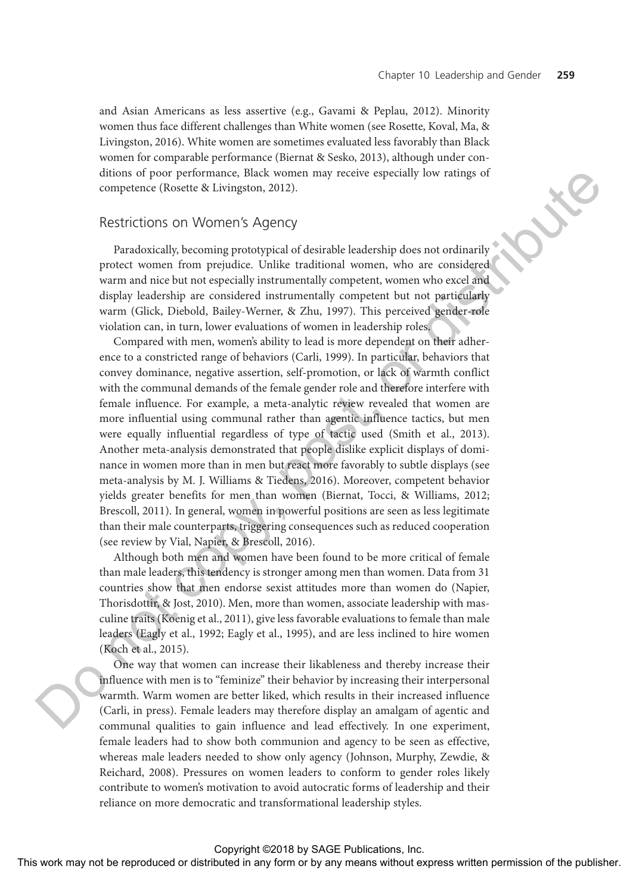and Asian Americans as less assertive (e.g., Gavami & Peplau, 2012). Minority women thus face different challenges than White women (see Rosette, Koval, Ma, & Livingston, 2016). White women are sometimes evaluated less favorably than Black women for comparable performance (Biernat & Sesko, 2013), although under conditions of poor performance, Black women may receive especially low ratings of competence (Rosette & Livingston, 2012).

# Restrictions on Women's Agency

Paradoxically, becoming prototypical of desirable leadership does not ordinarily protect women from prejudice. Unlike traditional women, who are considered warm and nice but not especially instrumentally competent, women who excel and display leadership are considered instrumentally competent but not particularly warm (Glick, Diebold, Bailey-Werner, & Zhu, 1997). This perceived gender-role violation can, in turn, lower evaluations of women in leadership roles.

Compared with men, women's ability to lead is more dependent on their adherence to a constricted range of behaviors (Carli, 1999). In particular, behaviors that convey dominance, negative assertion, self-promotion, or lack of warmth conflict with the communal demands of the female gender role and therefore interfere with female influence. For example, a meta-analytic review revealed that women are more influential using communal rather than agentic influence tactics, but men were equally influential regardless of type of tactic used (Smith et al., 2013). Another meta-analysis demonstrated that people dislike explicit displays of dominance in women more than in men but react more favorably to subtle displays (see meta-analysis by M. J. Williams & Tiedens, 2016). Moreover, competent behavior yields greater benefits for men than women (Biernat, Tocci, & Williams, 2012; Brescoll, 2011). In general, women in powerful positions are seen as less legitimate than their male counterparts, triggering consequences such as reduced cooperation (see review by Vial, Napier, & Brescoll, 2016). distinct of the rest in any free the specially low arrings of competence Dotertes's Lyocating produced of distribution dotes were considered by a set of the publisher of the rest or by any means were considered in any mean

Although both men and women have been found to be more critical of female than male leaders, this tendency is stronger among men than women. Data from 31 countries show that men endorse sexist attitudes more than women do (Napier, Thorisdottir, & Jost, 2010). Men, more than women, associate leadership with masculine traits (Koenig et al., 2011), give less favorable evaluations to female than male leaders (Eagly et al., 1992; Eagly et al., 1995), and are less inclined to hire women (Koch et al., 2015).

One way that women can increase their likableness and thereby increase their influence with men is to "feminize" their behavior by increasing their interpersonal warmth. Warm women are better liked, which results in their increased influence (Carli, in press). Female leaders may therefore display an amalgam of agentic and communal qualities to gain influence and lead effectively. In one experiment, female leaders had to show both communion and agency to be seen as effective, whereas male leaders needed to show only agency (Johnson, Murphy, Zewdie, & Reichard, 2008). Pressures on women leaders to conform to gender roles likely contribute to women's motivation to avoid autocratic forms of leadership and their reliance on more democratic and transformational leadership styles.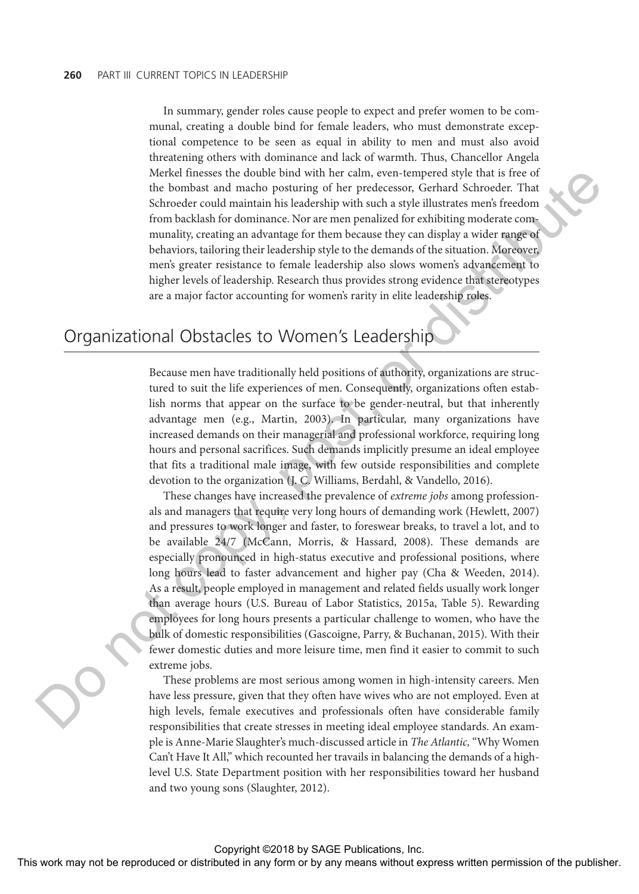In summary, gender roles cause people to expect and prefer women to be communal, creating a double bind for female leaders, who must demonstrate exceptional competence to be seen as equal in ability to men and must also avoid threatening others with dominance and lack of warmth. Thus, Chancellor Angela Merkel finesses the double bind with her calm, even-tempered style that is free of the bombast and macho posturing of her predecessor, Gerhard Schroeder. That Schroeder could maintain his leadership with such a style illustrates men's freedom from backlash for dominance. Nor are men penalized for exhibiting moderate communality, creating an advantage for them because they can display a wider range of behaviors, tailoring their leadership style to the demands of the situation. Moreover, men's greater resistance to female leadership also slows women's advancement to higher levels of leadership. Research thus provides strong evidence that stereotypes are a major factor accounting for women's rarity in elite leadership roles.

# Organizational Obstacles to Women's Leadership

Because men have traditionally held positions of authority, organizations are structured to suit the life experiences of men. Consequently, organizations often establish norms that appear on the surface to be gender-neutral, but that inherently advantage men (e.g., Martin, 2003). In particular, many organizations have increased demands on their managerial and professional workforce, requiring long hours and personal sacrifices. Such demands implicitly presume an ideal employee that fits a traditional male image, with few outside responsibilities and complete devotion to the organization (J. C. Williams, Berdahl, & Vandello, 2016).

These changes have increased the prevalence of *extreme jobs* among professionals and managers that require very long hours of demanding work (Hewlett, 2007) and pressures to work longer and faster, to foreswear breaks, to travel a lot, and to be available 24/7 (McCann, Morris, & Hassard, 2008). These demands are especially pronounced in high-status executive and professional positions, where long hours lead to faster advancement and higher pay (Cha & Weeden, 2014). As a result, people employed in management and related fields usually work longer than average hours (U.S. Bureau of Labor Statistics, 2015a, Table 5). Rewarding employees for long hours presents a particular challenge to women, who have the bulk of domestic responsibilities (Gascoigne, Parry, & Buchanan, 2015). With their fewer domestic duties and more leisure time, men find it easier to commit to such extreme jobs. We the free or distribution of the relations with the relation of the relation of the relation of the relation of the relation of the relation of the state of the control of the publisher. This can be relative to the pub

These problems are most serious among women in high-intensity careers. Men have less pressure, given that they often have wives who are not employed. Even at high levels, female executives and professionals often have considerable family responsibilities that create stresses in meeting ideal employee standards. An example is Anne-Marie Slaughter's much-discussed article in *The Atlantic,* "Why Women Can't Have It All," which recounted her travails in balancing the demands of a highlevel U.S. State Department position with her responsibilities toward her husband and two young sons (Slaughter, 2012).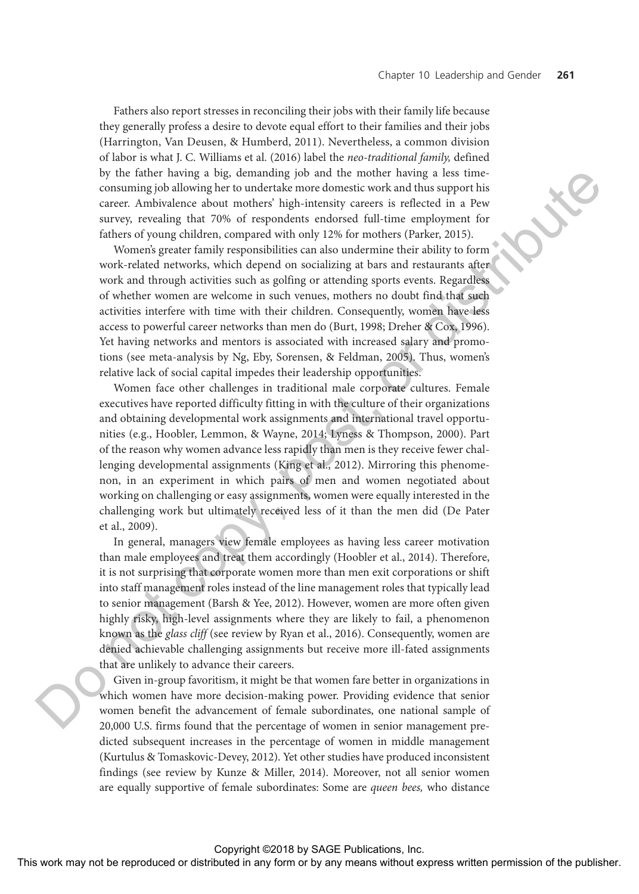Fathers also report stresses in reconciling their jobs with their family life because they generally profess a desire to devote equal effort to their families and their jobs (Harrington, Van Deusen, & Humberd, 2011). Nevertheless, a common division of labor is what J. C. Williams et al. (2016) label the *neo-traditional family,* defined by the father having a big, demanding job and the mother having a less timeconsuming job allowing her to undertake more domestic work and thus support his career. Ambivalence about mothers' high-intensity careers is reflected in a Pew survey, revealing that 70% of respondents endorsed full-time employment for fathers of young children, compared with only 12% for mothers (Parker, 2015).

Women's greater family responsibilities can also undermine their ability to form work-related networks, which depend on socializing at bars and restaurants after work and through activities such as golfing or attending sports events. Regardless of whether women are welcome in such venues, mothers no doubt find that such activities interfere with time with their children. Consequently, women have less access to powerful career networks than men do (Burt, 1998; Dreher & Cox, 1996). Yet having networks and mentors is associated with increased salary and promotions (see meta-analysis by Ng, Eby, Sorensen, & Feldman, 2005). Thus, women's relative lack of social capital impedes their leadership opportunities.

Women face other challenges in traditional male corporate cultures. Female executives have reported difficulty fitting in with the culture of their organizations and obtaining developmental work assignments and international travel opportunities (e.g., Hoobler, Lemmon, & Wayne, 2014; Lyness & Thompson, 2000). Part of the reason why women advance less rapidly than men is they receive fewer challenging developmental assignments (King et al., 2012). Mirroring this phenomenon, in an experiment in which pairs of men and women negotiated about working on challenging or easy assignments, women were equally interested in the challenging work but ultimately received less of it than the men did (De Pater et al., 2009). For farther horizontal controlled or distributed in any far-measure in any form or by any means with the reproduced or the publisher of the publishers were also that the publishers were also the publishers of the publishe

In general, managers view female employees as having less career motivation than male employees and treat them accordingly (Hoobler et al., 2014). Therefore, it is not surprising that corporate women more than men exit corporations or shift into staff management roles instead of the line management roles that typically lead to senior management (Barsh & Yee, 2012). However, women are more often given highly risky, high-level assignments where they are likely to fail, a phenomenon known as the *glass cliff* (see review by Ryan et al., 2016). Consequently, women are denied achievable challenging assignments but receive more ill-fated assignments that are unlikely to advance their careers.

Given in-group favoritism, it might be that women fare better in organizations in which women have more decision-making power. Providing evidence that senior women benefit the advancement of female subordinates, one national sample of 20,000 U.S. firms found that the percentage of women in senior management predicted subsequent increases in the percentage of women in middle management (Kurtulus & Tomaskovic-Devey, 2012). Yet other studies have produced inconsistent findings (see review by Kunze & Miller, 2014). Moreover, not all senior women are equally supportive of female subordinates: Some are *queen bees,* who distance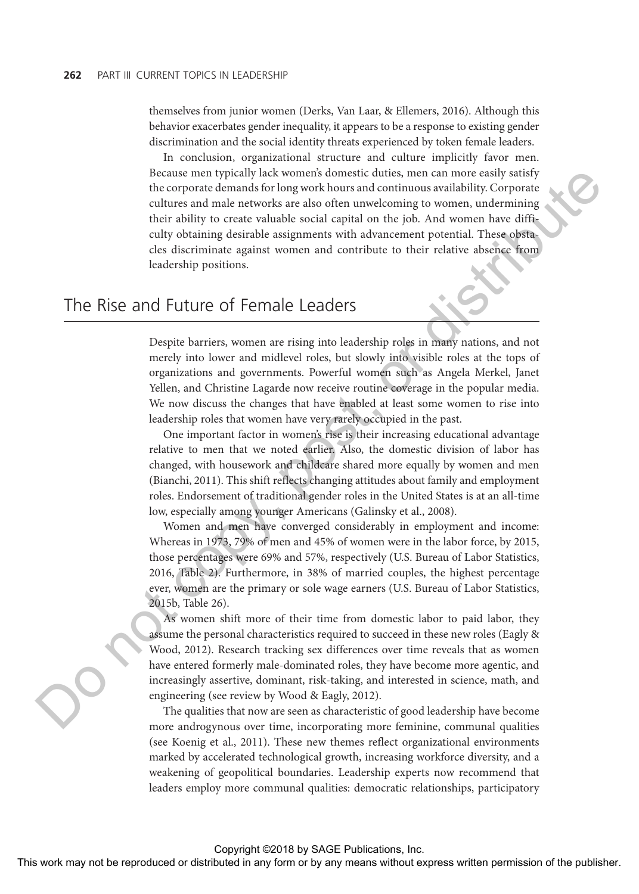themselves from junior women (Derks, Van Laar, & Ellemers, 2016). Although this behavior exacerbates gender inequality, it appears to be a response to existing gender discrimination and the social identity threats experienced by token female leaders.

In conclusion, organizational structure and culture implicitly favor men. Because men typically lack women's domestic duties, men can more easily satisfy the corporate demands for long work hours and continuous availability. Corporate cultures and male networks are also often unwelcoming to women, undermining their ability to create valuable social capital on the job. And women have difficulty obtaining desirable assignments with advancement potential. These obstacles discriminate against women and contribute to their relative absence from leadership positions. The Rise capacity discrete three rest may not be reproduced in any form or by any form or by any form or by any form or by any means with the state of the publisher. So the representation of the publisher and the publishe

# The Rise and Future of Female Leaders

Despite barriers, women are rising into leadership roles in many nations, and not merely into lower and midlevel roles, but slowly into visible roles at the tops of organizations and governments. Powerful women such as Angela Merkel, Janet Yellen, and Christine Lagarde now receive routine coverage in the popular media. We now discuss the changes that have enabled at least some women to rise into leadership roles that women have very rarely occupied in the past.

One important factor in women's rise is their increasing educational advantage relative to men that we noted earlier. Also, the domestic division of labor has changed, with housework and childcare shared more equally by women and men (Bianchi, 2011). This shift reflects changing attitudes about family and employment roles. Endorsement of traditional gender roles in the United States is at an all-time low, especially among younger Americans (Galinsky et al., 2008).

Women and men have converged considerably in employment and income: Whereas in 1973, 79% of men and 45% of women were in the labor force, by 2015, those percentages were 69% and 57%, respectively (U.S. Bureau of Labor Statistics, 2016, Table 2). Furthermore, in 38% of married couples, the highest percentage ever, women are the primary or sole wage earners (U.S. Bureau of Labor Statistics, 2015b, Table 26).

As women shift more of their time from domestic labor to paid labor, they assume the personal characteristics required to succeed in these new roles (Eagly & Wood, 2012). Research tracking sex differences over time reveals that as women have entered formerly male-dominated roles, they have become more agentic, and increasingly assertive, dominant, risk-taking, and interested in science, math, and engineering (see review by Wood & Eagly, 2012).

The qualities that now are seen as characteristic of good leadership have become more androgynous over time, incorporating more feminine, communal qualities (see Koenig et al., 2011). These new themes reflect organizational environments marked by accelerated technological growth, increasing workforce diversity, and a weakening of geopolitical boundaries. Leadership experts now recommend that leaders employ more communal qualities: democratic relationships, participatory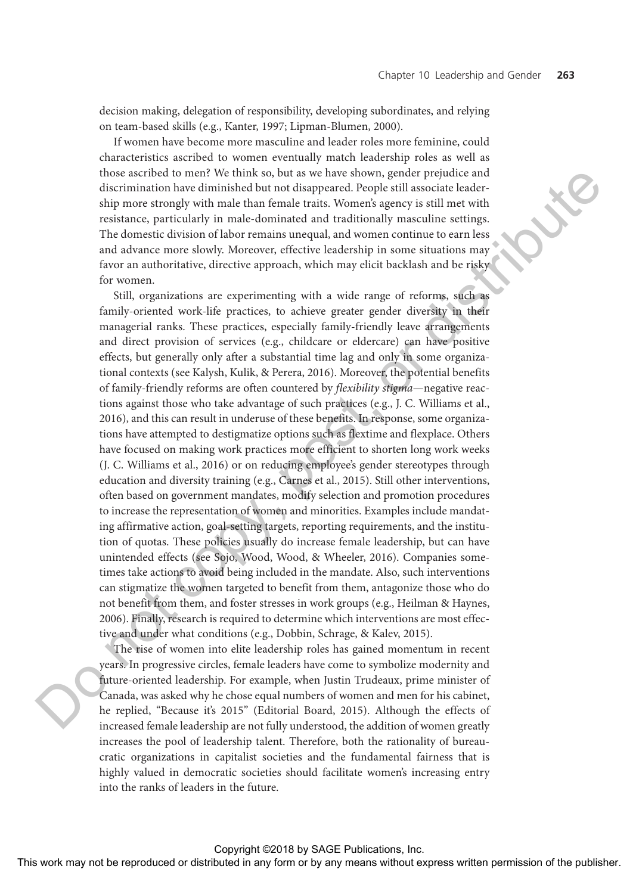decision making, delegation of responsibility, developing subordinates, and relying on team-based skills (e.g., Kanter, 1997; Lipman-Blumen, 2000).

If women have become more masculine and leader roles more feminine, could characteristics ascribed to women eventually match leadership roles as well as those ascribed to men? We think so, but as we have shown, gender prejudice and discrimination have diminished but not disappeared. People still associate leadership more strongly with male than female traits. Women's agency is still met with resistance, particularly in male-dominated and traditionally masculine settings. The domestic division of labor remains unequal, and women continue to earn less and advance more slowly. Moreover, effective leadership in some situations may favor an authoritative, directive approach, which may elicit backlash and be risky for women.

Still, organizations are experimenting with a wide range of reforms, such as family-oriented work-life practices, to achieve greater gender diversity in their managerial ranks. These practices, especially family-friendly leave arrangements and direct provision of services (e.g., childcare or eldercare) can have positive effects, but generally only after a substantial time lag and only in some organizational contexts (see Kalysh, Kulik, & Perera, 2016). Moreover, the potential benefits of family-friendly reforms are often countered by *flexibility stigma*—negative reactions against those who take advantage of such practices (e.g., J. C. Williams et al., 2016), and this can result in underuse of these benefits. In response, some organizations have attempted to destigmatize options such as flextime and flexplace. Others have focused on making work practices more efficient to shorten long work weeks (J. C. Williams et al., 2016) or on reducing employee's gender stereotypes through education and diversity training (e.g., Carnes et al., 2015). Still other interventions, often based on government mandates, modify selection and promotion procedures to increase the representation of women and minorities. Examples include mandating affirmative action, goal-setting targets, reporting requirements, and the institution of quotas. These policies usually do increase female leadership, but can have unintended effects (see Sojo, Wood, Wood, & Wheeler, 2016). Companies sometimes take actions to avoid being included in the mandate. Also, such interventions can stigmatize the women targeted to benefit from them, antagonize those who do not benefit from them, and foster stresses in work groups (e.g., Heilman & Haynes, 2006). Finally, research is required to determine which interventions are most effective and under what conditions (e.g., Dobbin, Schrage, & Kalev, 2015). The control of the relationship or the relationship or the relationship or the relationship or the relationship or the relationship of the relationship of the relationship of the publisher. This we also the publisher and t



The rise of women into elite leadership roles has gained momentum in recent years. In progressive circles, female leaders have come to symbolize modernity and future-oriented leadership. For example, when Justin Trudeaux, prime minister of Canada, was asked why he chose equal numbers of women and men for his cabinet, he replied, "Because it's 2015" (Editorial Board, 2015). Although the effects of increased female leadership are not fully understood, the addition of women greatly increases the pool of leadership talent. Therefore, both the rationality of bureaucratic organizations in capitalist societies and the fundamental fairness that is highly valued in democratic societies should facilitate women's increasing entry into the ranks of leaders in the future.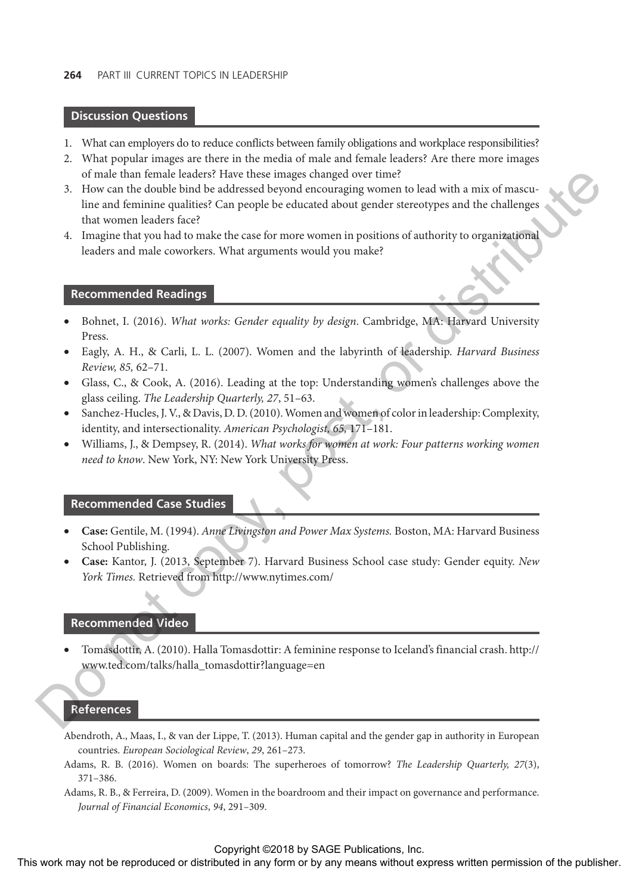### **Discussion Questions**

- 1. What can employers do to reduce conflicts between family obligations and workplace responsibilities?
- 2. What popular images are there in the media of male and female leaders? Are there more images of male than female leaders? Have these images changed over time?
- 3. How can the double bind be addressed beyond encouraging women to lead with a mix of masculine and feminine qualities? Can people be educated about gender stereotypes and the challenges that women leaders face? of main them between leaders in any form or by any determined in any form or by any form or by any form or by any means we could be reproduced to produce the publisher contents were also contents to the contents of the di
	- 4. Imagine that you had to make the case for more women in positions of authority to organizational leaders and male coworkers. What arguments would you make?

### **Recommended Readings**

- Bohnet, I. (2016). *What works: Gender equality by design*. Cambridge, MA: Harvard University Press.
- Eagly, A. H., & Carli, L. L. (2007). Women and the labyrinth of leadership. *Harvard Business Review, 85,* 62–71.
- Glass, C., & Cook, A. (2016). Leading at the top: Understanding women's challenges above the glass ceiling. *The Leadership Quarterly, 27*, 51–63.
- Sanchez-Hucles, J. V., & Davis, D. D. (2010). Women and women of color in leadership: Complexity, identity, and intersectionality. *American Psychologist, 65,* 171–181.
- Williams, J., & Dempsey, R. (2014). *What works for women at work: Four patterns working women need to know*. New York, NY: New York University Press.

# **Recommended Case Studies**

- **Case:** Gentile, M. (1994). *Anne Livingston and Power Max Systems.* Boston, MA: Harvard Business School Publishing.
- **Case:** Kantor, J. (2013, September 7). Harvard Business School case study: Gender equity. *New York Times.* Retrieved from http://www.nytimes.com/

### **Recommended Video**

• Tomasdottir, A. (2010). Halla Tomasdottir: A feminine response to Iceland's financial crash. http:// www.ted.com/talks/halla\_tomasdottir?language=en

### **References**

- Abendroth, A., Maas, I., & van der Lippe, T. (2013). Human capital and the gender gap in authority in European countries. *European Sociological Review*, *29*, 261–273.
- Adams, R. B. (2016). Women on boards: The superheroes of tomorrow? *The Leadership Quarterly, 27*(3), 371–386.
- Adams, R. B., & Ferreira, D. (2009). Women in the boardroom and their impact on governance and performance. *Journal of Financial Economics*, *94*, 291–309.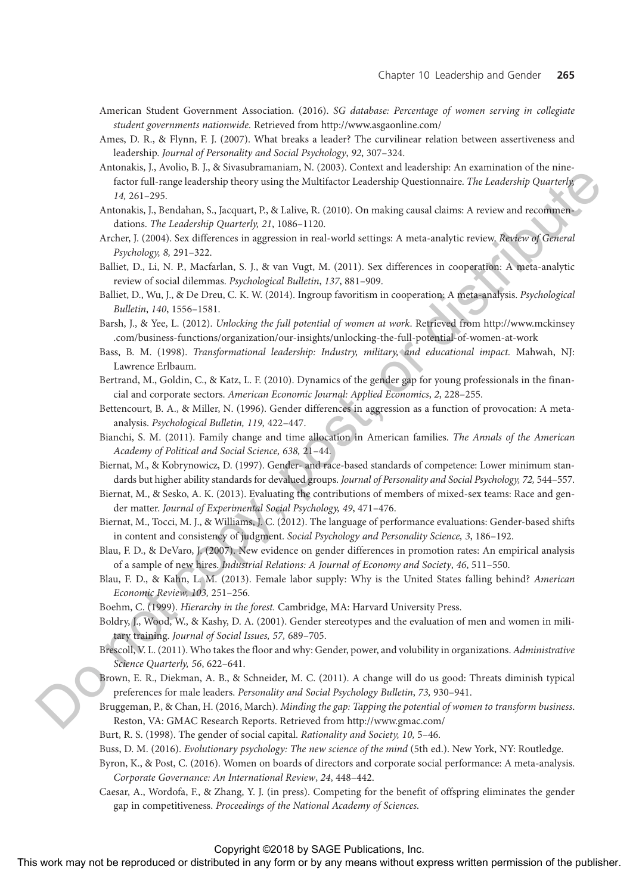- American Student Government Association. (2016). *SG database: Percentage of women serving in collegiate student governments nationwide.* Retrieved from http://www.asgaonline.com/
- Ames, D. R., & Flynn, F. J. (2007). What breaks a leader? The curvilinear relation between assertiveness and leadership. *Journal of Personality and Social Psychology*, *92*, 307–324.
- Antonakis, J., Avolio, B. J., & Sivasubramaniam, N. (2003). Context and leadership: An examination of the ninefactor full-range leadership theory using the Multifactor Leadership Questionnaire. *The Leadership Quarterly, 14,* 261–295. The contributed in any form or between  $\tau$  and  $\tau$  and  $\tau$  and  $\tau$  any form or by any means with  $\tau$  and  $\tau$  any means with  $\tau$  and  $\tau$  and  $\tau$  and  $\tau$  and  $\tau$  and  $\tau$  and  $\tau$  and  $\tau$  and  $\tau$  and  $\tau$  and
	- Antonakis, J., Bendahan, S., Jacquart, P., & Lalive, R. (2010). On making causal claims: A review and recommendations. *The Leadership Quarterly, 21*, 1086–1120.
	- Archer, J. (2004). Sex differences in aggression in real-world settings: A meta-analytic review. *Review of General Psychology, 8,* 291–322.
	- Balliet, D., Li, N. P., Macfarlan, S. J., & van Vugt, M. (2011). Sex differences in cooperation: A meta-analytic review of social dilemmas. *Psychological Bulletin*, *137*, 881–909.
	- Balliet, D., Wu, J., & De Dreu, C. K. W. (2014). Ingroup favoritism in cooperation: A meta-analysis. *Psychological Bulletin*, *140*, 1556–1581.
	- Barsh, J., & Yee, L. (2012). *Unlocking the full potential of women at work*. Retrieved from http://www.mckinsey .com/business-functions/organization/our-insights/unlocking-the-full-potential-of-women-at-work
	- Bass, B. M. (1998). *Transformational leadership: Industry, military, and educational impact.* Mahwah, NJ: Lawrence Erlbaum.
	- Bertrand, M., Goldin, C., & Katz, L. F. (2010). Dynamics of the gender gap for young professionals in the financial and corporate sectors. *American Economic Journal: Applied Economics*, *2*, 228–255.
	- Bettencourt, B. A., & Miller, N. (1996). Gender differences in aggression as a function of provocation: A metaanalysis. *Psychological Bulletin, 119,* 422–447.
	- Bianchi, S. M. (2011). Family change and time allocation in American families. *The Annals of the American Academy of Political and Social Science, 638,* 21–44.
	- Biernat, M., & Kobrynowicz, D. (1997). Gender- and race-based standards of competence: Lower minimum standards but higher ability standards for devalued groups. *Journal of Personality and Social Psychology, 72,* 544–557.
	- Biernat, M., & Sesko, A. K. (2013). Evaluating the contributions of members of mixed-sex teams: Race and gender matter. *Journal of Experimental Social Psychology, 49*, 471–476.
	- Biernat, M., Tocci, M. J., & Williams, J. C. (2012). The language of performance evaluations: Gender-based shifts in content and consistency of judgment. *Social Psychology and Personality Science, 3*, 186–192.
	- Blau, F. D., & DeVaro, J. (2007). New evidence on gender differences in promotion rates: An empirical analysis of a sample of new hires. *Industrial Relations: A Journal of Economy and Society*, *46*, 511–550.
	- Blau, F. D., & Kahn, L. M. (2013). Female labor supply: Why is the United States falling behind? *American Economic Review, 103,* 251–256.
	- Boehm, C. (1999). *Hierarchy in the forest.* Cambridge, MA: Harvard University Press.
	- Boldry, J., Wood, W., & Kashy, D. A. (2001). Gender stereotypes and the evaluation of men and women in military training. *Journal of Social Issues, 57,* 689–705.
	- Brescoll, V. L. (2011). Who takes the floor and why: Gender, power, and volubility in organizations. *Administrative Science Quarterly, 56*, 622–641.
	- Brown, E. R., Diekman, A. B., & Schneider, M. C. (2011). A change will do us good: Threats diminish typical preferences for male leaders. *Personality and Social Psychology Bulletin*, *73,* 930–941.
	- Bruggeman, P., & Chan, H. (2016, March). *Minding the gap: Tapping the potential of women to transform business*. Reston, VA: GMAC Research Reports. Retrieved from http://www.gmac.com/
	- Burt, R. S. (1998). The gender of social capital. *Rationality and Society, 10,* 5–46.

Buss, D. M. (2016). *Evolutionary psychology: The new science of the mind* (5th ed.). New York, NY: Routledge.

- Byron, K., & Post, C. (2016). Women on boards of directors and corporate social performance: A meta-analysis. *Corporate Governance: An International Review*, *24*, 448–442.
- Caesar, A., Wordofa, F., & Zhang, Y. J. (in press). Competing for the benefit of offspring eliminates the gender gap in competitiveness. *Proceedings of the National Academy of Sciences.*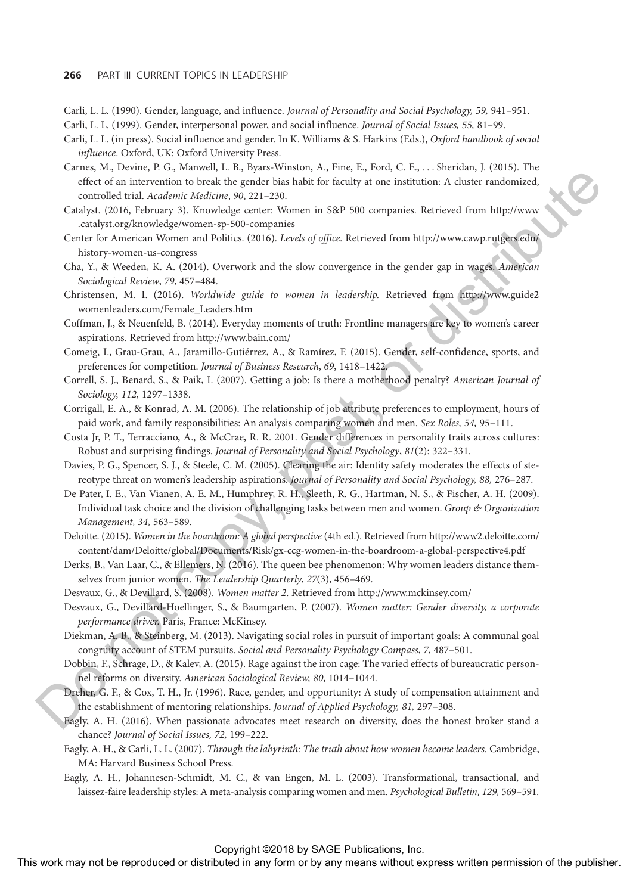- Carli, L. L. (1990). Gender, language, and influence. *Journal of Personality and Social Psychology, 59,* 941–951.
- Carli, L. L. (1999). Gender, interpersonal power, and social influence. *Journal of Social Issues, 55,* 81–99.
- Carli, L. L. (in press). Social influence and gender. In K. Williams & S. Harkins (Eds.), *Oxford handbook of social influence*. Oxford, UK: Oxford University Press.
- Carnes, M., Devine, P. G., Manwell, L. B., Byars-Winston, A., Fine, E., Ford, C. E., . . . Sheridan, J. (2015). The effect of an intervention to break the gender bias habit for faculty at one institution: A cluster randomized, controlled trial. *Academic Medicine*, *90*, 221–230.
- Catalyst. (2016, February 3). Knowledge center: Women in S&P 500 companies. Retrieved from http://www .catalyst.org/knowledge/women-sp-500-companies
- Center for American Women and Politics. (2016). *Levels of office.* Retrieved from http://www.cawp.rutgers.edu/ history-women-us-congress
- Cha, Y., & Weeden, K. A. (2014). Overwork and the slow convergence in the gender gap in wages. *American Sociological Review*, *79*, 457–484.
- Christensen, M. I. (2016). *Worldwide guide to women in leadership.* Retrieved from http://www.guide2 womenleaders.com/Female\_Leaders.htm
- Coffman, J., & Neuenfeld, B. (2014). Everyday moments of truth: Frontline managers are key to women's career aspirations*.* Retrieved from http://www.bain.com/
- Comeig, I., Grau-Grau, A., Jaramillo-Gutiérrez, A., & Ramírez, F. (2015). Gender, self-confidence, sports, and preferences for competition. *Journal of Business Research*, *69*, 1418–1422.
- Correll, S. J., Benard, S., & Paik, I. (2007). Getting a job: Is there a motherhood penalty? *American Journal of Sociology, 112,* 1297–1338.
- Corrigall, E. A., & Konrad, A. M. (2006). The relationship of job attribute preferences to employment, hours of paid work, and family responsibilities: An analysis comparing women and men. *Sex Roles, 54,* 95–111.
- Costa Jr, P. T., Terracciano, A., & McCrae, R. R. 2001. Gender differences in personality traits across cultures: Robust and surprising findings. *Journal of Personality and Social Psychology*, *81*(2): 322–331.
- Davies, P. G., Spencer, S. J., & Steele, C. M. (2005). Clearing the air: Identity safety moderates the effects of stereotype threat on women's leadership aspirations. *Journal of Personality and Social Psychology, 88,* 276–287.
- De Pater, I. E., Van Vianen, A. E. M., Humphrey, R. H., Sleeth, R. G., Hartman, N. S., & Fischer, A. H. (2009). Individual task choice and the division of challenging tasks between men and women. *Group & Organization Management, 34,* 563–589. The control of the repression of the reproduced or distributed in any form or by any form or by any form or by any form or by any means with the control of the reproduced or distributed in any form of the publisher of the
	- Deloitte. (2015). *Women in the boardroom: A global perspective* (4th ed.). Retrieved from http://www2.deloitte.com/ content/dam/Deloitte/global/Documents/Risk/gx-ccg-women-in-the-boardroom-a-global-perspective4.pdf
	- Derks, B., Van Laar, C., & Ellemers, N. (2016). The queen bee phenomenon: Why women leaders distance themselves from junior women. *The Leadership Quarterly*, *27*(3), 456–469.
	- Desvaux, G., & Devillard, S. (2008). *Women matter 2*. Retrieved from http://www.mckinsey.com/
	- Desvaux, G., Devillard-Hoellinger, S., & Baumgarten, P. (2007). *Women matter: Gender diversity, a corporate performance driver.* Paris, France: McKinsey.
	- Diekman, A. B., & Steinberg, M. (2013). Navigating social roles in pursuit of important goals: A communal goal congruity account of STEM pursuits. *Social and Personality Psychology Compass*, *7*, 487–501.
	- Dobbin, F., Schrage, D., & Kalev, A. (2015). Rage against the iron cage: The varied effects of bureaucratic personnel reforms on diversity. *American Sociological Review, 80*, 1014–1044.
	- Dreher, G. F., & Cox, T. H., Jr. (1996). Race, gender, and opportunity: A study of compensation attainment and the establishment of mentoring relationships. *Journal of Applied Psychology, 81,* 297–308.
	- Eagly, A. H. (2016). When passionate advocates meet research on diversity, does the honest broker stand a chance? *Journal of Social Issues, 72,* 199–222.
	- Eagly, A. H., & Carli, L. L. (2007). *Through the labyrinth: The truth about how women become leaders.* Cambridge, MA: Harvard Business School Press.
	- Eagly, A. H., Johannesen-Schmidt, M. C., & van Engen, M. L. (2003). Transformational, transactional, and laissez-faire leadership styles: A meta-analysis comparing women and men. *Psychological Bulletin, 129,* 569–591*.*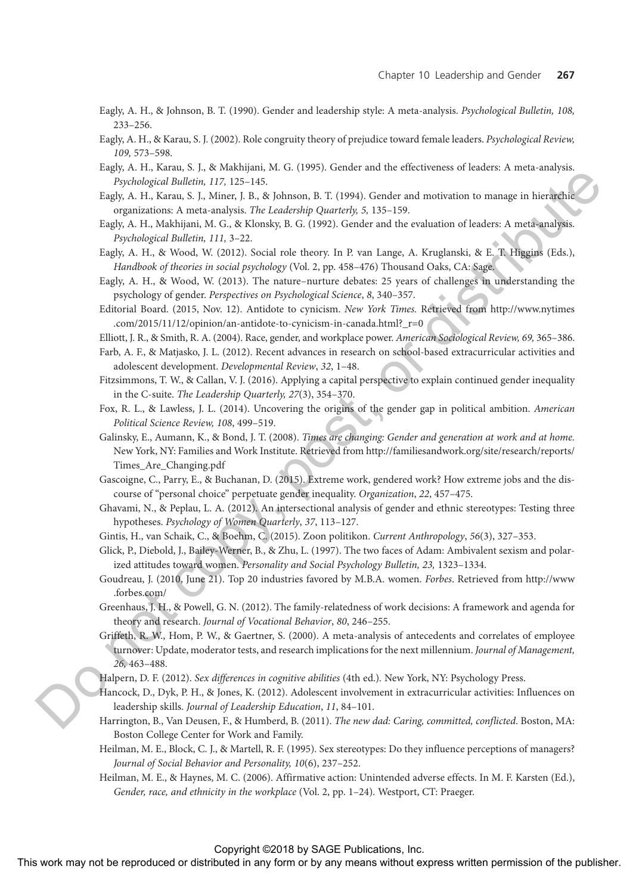- Eagly, A. H., & Johnson, B. T. (1990). Gender and leadership style: A meta-analysis. *Psychological Bulletin, 108,*  233–256.
- Eagly, A. H., & Karau, S. J. (2002). Role congruity theory of prejudice toward female leaders. *Psychological Review, 109,* 573–598.
- Eagly, A. H., Karau, S. J., & Makhijani, M. G. (1995). Gender and the effectiveness of leaders: A meta-analysis. *Psychological Bulletin, 117,* 125–145.
- Eagly, A. H., Karau, S. J., Miner, J. B., & Johnson, B. T. (1994). Gender and motivation to manage in hierarchic organizations: A meta-analysis. *The Leadership Quarterly, 5,* 135–159.
- Eagly, A. H., Makhijani, M. G., & Klonsky, B. G. (1992). Gender and the evaluation of leaders: A meta-analysis. *Psychological Bulletin, 111,* 3–22.
- Eagly, A. H., & Wood, W. (2012). Social role theory. In P. van Lange, A. Kruglanski, & E. T. Higgins (Eds.), *Handbook of theories in social psychology* (Vol. 2, pp. 458–476) Thousand Oaks, CA: Sage.
- Eagly, A. H., & Wood, W. (2013). The nature–nurture debates: 25 years of challenges in understanding the psychology of gender. *Perspectives on Psychological Science*, *8*, 340–357.
- Editorial Board. (2015, Nov. 12). Antidote to cynicism. *New York Times.* Retrieved from http://www.nytimes .com/2015/11/12/opinion/an-antidote-to-cynicism-in-canada.html?\_r=0

Elliott, J. R., & Smith, R. A. (2004). Race, gender, and workplace power. *American Sociological Review, 69,* 365–386.

- Farb, A. F., & Matjasko, J. L. (2012). Recent advances in research on school-based extracurricular activities and adolescent development. *Developmental Review*, *32*, 1–48.
- Fitzsimmons, T. W., & Callan, V. J. (2016). Applying a capital perspective to explain continued gender inequality in the C-suite. *The Leadership Quarterly, 27*(3), 354–370.

Fox, R. L., & Lawless, J. L. (2014). Uncovering the origins of the gender gap in political ambition. *American Political Science Review, 108*, 499–519.

- Galinsky, E., Aumann, K., & Bond, J. T. (2008). *Times are changing: Gender and generation at work and at home.*  New York, NY: Families and Work Institute. Retrieved from http://familiesandwork.org/site/research/reports/ Times\_Are\_Changing.pdf The Research or the results of the results of the results of the results of the reproduced or the results of the results of the results of the results of the results of the results of the results of the results of the res
	- Gascoigne, C., Parry, E., & Buchanan, D. (2015). Extreme work, gendered work? How extreme jobs and the discourse of "personal choice" perpetuate gender inequality. *Organization*, *22*, 457–475.
	- Ghavami, N., & Peplau, L. A. (2012). An intersectional analysis of gender and ethnic stereotypes: Testing three hypotheses. *Psychology of Women Quarterly*, *37*, 113–127.
	- Gintis, H., van Schaik, C., & Boehm, C. (2015). Zoon politikon. *Current Anthropology*, *56*(3), 327–353.
	- Glick, P., Diebold, J., Bailey-Werner, B., & Zhu, L. (1997). The two faces of Adam: Ambivalent sexism and polarized attitudes toward women. *Personality and Social Psychology Bulletin*, 23, 1323-1334.
	- Goudreau, J. (2010, June 21). Top 20 industries favored by M.B.A. women. *Forbes*. Retrieved from http://www .forbes.com/
	- Greenhaus, J. H., & Powell, G. N. (2012). The family-relatedness of work decisions: A framework and agenda for theory and research. *Journal of Vocational Behavior*, *80*, 246–255.
	- Griffeth, R. W., Hom, P. W., & Gaertner, S. (2000). A meta-analysis of antecedents and correlates of employee turnover: Update, moderator tests, and research implications for the next millennium. *Journal of Management, 26,* 463–488.
	- Halpern, D. F. (2012). Sex differences in cognitive abilities (4th ed.). New York, NY: Psychology Press.
	- Hancock, D., Dyk, P. H., & Jones, K. (2012). Adolescent involvement in extracurricular activities: Influences on leadership skills. *Journal of Leadership Education*, *11*, 84–101.
	- Harrington, B., Van Deusen, F., & Humberd, B. (2011). *The new dad: Caring, committed, conflicted*. Boston, MA: Boston College Center for Work and Family.
	- Heilman, M. E., Block, C. J., & Martell, R. F. (1995). Sex stereotypes: Do they influence perceptions of managers? *Journal of Social Behavior and Personality, 10*(6), 237–252.
	- Heilman, M. E., & Haynes, M. C. (2006). Affirmative action: Unintended adverse effects. In M. F. Karsten (Ed.), *Gender, race, and ethnicity in the workplace* (Vol. 2, pp. 1–24). Westport, CT: Praeger.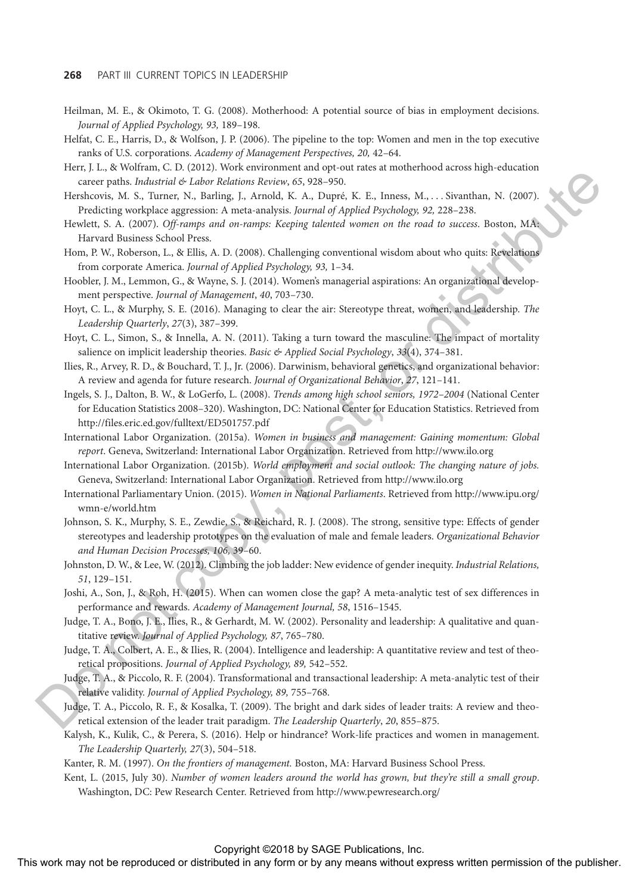- Heilman, M. E., & Okimoto, T. G. (2008). Motherhood: A potential source of bias in employment decisions. *Journal of Applied Psychology, 93,* 189–198.
- Helfat, C. E., Harris, D., & Wolfson, J. P. (2006). The pipeline to the top: Women and men in the top executive ranks of U.S. corporations. *Academy of Management Perspectives, 20,* 42–64.
- Herr, J. L., & Wolfram, C. D. (2012). Work environment and opt-out rates at motherhood across high-education career paths. *Industrial & Labor Relations Review*, *65*, 928–950.
- Hershcovis, M. S., Turner, N., Barling, J., Arnold, K. A., Dupré, K. E., Inness, M., . . . Sivanthan, N. (2007). Predicting workplace aggression: A meta-analysis. *Journal of Applied Psychology, 92,* 228–238.
- Hewlett, S. A. (2007). *Off-ramps and on-ramps: Keeping talented women on the road to success*. Boston, MA: Harvard Business School Press.
- Hom, P. W., Roberson, L., & Ellis, A. D. (2008). Challenging conventional wisdom about who quits: Revelations from corporate America. *Journal of Applied Psychology, 93,* 1–34.
- Hoobler, J. M., Lemmon, G., & Wayne, S. J. (2014). Women's managerial aspirations: An organizational development perspective. *Journal of Management*, *40*, 703–730.
- Hoyt, C. L., & Murphy, S. E. (2016). Managing to clear the air: Stereotype threat, women, and leadership. *The Leadership Quarterly*, *27*(3), 387–399.
- Hoyt, C. L., Simon, S., & Innella, A. N. (2011). Taking a turn toward the masculine: The impact of mortality salience on implicit leadership theories. *Basic & Applied Social Psychology*, *33*(4), 374–381.
- Ilies, R., Arvey, R. D., & Bouchard, T. J., Jr. (2006). Darwinism, behavioral genetics, and organizational behavior: A review and agenda for future research. *Journal of Organizational Behavior*, *27*, 121–141.
- Ingels, S. J., Dalton, B. W., & LoGerfo, L. (2008). *Trends among high school seniors, 1972–2004* (National Center for Education Statistics 2008–320). Washington, DC: National Center for Education Statistics. Retrieved from http://files.eric.ed.gov/fulltext/ED501757.pdf The results and the repression or the results of the results with a specific term of the results with the results with  $\alpha$  and  $\beta$  ( $\gamma$ ) and  $\gamma$  ( $\gamma$ ) and  $\gamma$  ( $\gamma$ ) and  $\gamma$  ( $\gamma$ ) and  $\gamma$  ( $\gamma$ ) and  $\gamma$  ( $\gamma$ ) a
	- International Labor Organization. (2015a). *Women in business and management: Gaining momentum: Global report*. Geneva, Switzerland: International Labor Organization. Retrieved from http://www.ilo.org
	- International Labor Organization. (2015b). *World employment and social outlook: The changing nature of jobs.*  Geneva, Switzerland: International Labor Organization. Retrieved from http://www.ilo.org
	- International Parliamentary Union. (2015). *Women in National Parliaments*. Retrieved from http://www.ipu.org/ wmn-e/world.htm
	- Johnson, S. K., Murphy, S. E., Zewdie, S., & Reichard, R. J. (2008). The strong, sensitive type: Effects of gender stereotypes and leadership prototypes on the evaluation of male and female leaders. *Organizational Behavior and Human Decision Processes, 106,* 39–60.
	- Johnston, D. W., & Lee, W. (2012). Climbing the job ladder: New evidence of gender inequity. *Industrial Relations, 51*, 129–151.
	- Joshi, A., Son, J., & Roh, H. (2015). When can women close the gap? A meta-analytic test of sex differences in performance and rewards. *Academy of Management Journal, 58*, 1516–1545.
	- Judge, T. A., Bono, J. E., Ilies, R., & Gerhardt, M. W. (2002). Personality and leadership: A qualitative and quantitative review. *Journal of Applied Psychology, 87*, 765–780.
	- Judge, T. A., Colbert, A. E., & Ilies, R. (2004). Intelligence and leadership: A quantitative review and test of theoretical propositions. *Journal of Applied Psychology, 89,* 542–552.
	- Judge, T. A., & Piccolo, R. F. (2004). Transformational and transactional leadership: A meta-analytic test of their relative validity. *Journal of Applied Psychology, 89,* 755–768.
	- Judge, T. A., Piccolo, R. F., & Kosalka, T. (2009). The bright and dark sides of leader traits: A review and theoretical extension of the leader trait paradigm. *The Leadership Quarterly*, *20*, 855–875.
	- Kalysh, K., Kulik, C., & Perera, S. (2016). Help or hindrance? Work-life practices and women in management. *The Leadership Quarterly, 27*(3), 504–518.
	- Kanter, R. M. (1997). *On the frontiers of management.* Boston, MA: Harvard Business School Press.
	- Kent, L. (2015, July 30). *Number of women leaders around the world has grown, but they're still a small group*. Washington, DC: Pew Research Center. Retrieved from http://www.pewresearch.org/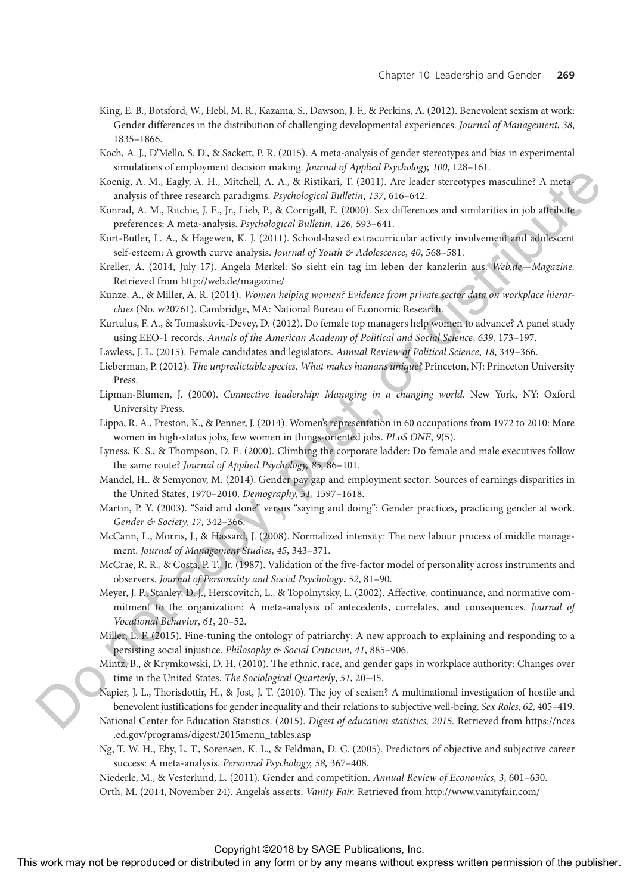- King, E. B., Botsford, W., Hebl, M. R., Kazama, S., Dawson, J. F., & Perkins, A. (2012). Benevolent sexism at work: Gender differences in the distribution of challenging developmental experiences. *Journal of Management*, *38*, 1835–1866.
- Koch, A. J., D'Mello, S. D., & Sackett, P. R. (2015). A meta-analysis of gender stereotypes and bias in experimental simulations of employment decision making. *Journal of Applied Psychology, 100*, 128–161.
- Koenig, A. M., Eagly, A. H., Mitchell, A. A., & Ristikari, T. (2011). Are leader stereotypes masculine? A metaanalysis of three research paradigms. *Psychological Bulletin*, *137*, 616–642.
- Konrad, A. M., Ritchie, J. E., Jr., Lieb, P., & Corrigall, E. (2000). Sex differences and similarities in job attribute preferences: A meta-analysis. *Psychological Bulletin, 126,* 593–641.
- Kort-Butler, L. A., & Hagewen, K. J. (2011). School-based extracurricular activity involvement and adolescent self-esteem: A growth curve analysis. *Journal of Youth & Adolescence*, *40*, 568–581.
- Kreller, A. (2014, July 17). Angela Merkel: So sieht ein tag im leben der kanzlerin aus. *Web.de—Magazine.*  Retrieved from http://web.de/magazine/
- Kunze, A., & Miller, A. R. (2014). *Women helping women? Evidence from private sector data on workplace hierarchies* (No. w20761). Cambridge, MA: National Bureau of Economic Research.
- Kurtulus, F. A., & Tomaskovic-Devey, D. (2012). Do female top managers help women to advance? A panel study using EEO-1 records. *Annals of the American Academy of Political and Social Science*, *639,* 173–197.
- Lawless, J. L. (2015). Female candidates and legislators. *Annual Review of Political Science*, *18*, 349–366.
- Lieberman, P. (2012). *The unpredictable species. What makes humans unique?* Princeton, NJ: Princeton University Press.
- Lipman-Blumen, J. (2000). *Connective leadership: Managing in a changing world.* New York, NY: Oxford University Press.
- Lippa, R. A., Preston, K., & Penner, J. (2014). Women's representation in 60 occupations from 1972 to 2010: More women in high-status jobs, few women in things-oriented jobs. *PLoS ONE*, *9*(5).
- Lyness, K. S., & Thompson, D. E. (2000). Climbing the corporate ladder: Do female and male executives follow the same route? *Journal of Applied Psychology, 85,* 86–101.
- Mandel, H., & Semyonov, M. (2014). Gender pay gap and employment sector: Sources of earnings disparities in the United States, 1970–2010. *Demography, 51*, 1597–1618.
- Martin, P. Y. (2003). "Said and done" versus "saying and doing": Gender practices, practicing gender at work. *Gender & Society, 17,* 342–366.
- McCann, L., Morris, J., & Hassard, J. (2008). Normalized intensity: The new labour process of middle management. *Journal of Management Studies*, *45*, 343–371.
- McCrae, R. R., & Costa, P. T., Jr. (1987). Validation of the five-factor model of personality across instruments and observers. *Journal of Personality and Social Psychology*, *52*, 81–90.
- Meyer, J. P., Stanley, D. J., Herscovitch, L., & Topolnytsky, L. (2002). Affective, continuance, and normative commitment to the organization: A meta-analysis of antecedents, correlates, and consequences. *Journal of Vocational Behavior*, *61*, 20–52. The may note that the state is a busined in  $T_1 \times T_2$  in a busined in any means with the reproduced in any form or business with the reproduced in any means with the reproduced in any means with the representation of th
	- Miller, L. F. (2015). Fine-tuning the ontology of patriarchy: A new approach to explaining and responding to a persisting social injustice. *Philosophy & Social Criticism*, *41*, 885–906.
	- Mintz, B., & Krymkowski, D. H. (2010). The ethnic, race, and gender gaps in workplace authority: Changes over time in the United States. *The Sociological Quarterly*, *51*, 20–45.
	- Napier, J. L., Thorisdottir, H., & Jost, J. T. (2010). The joy of sexism? A multinational investigation of hostile and benevolent justifications for gender inequality and their relations to subjective well-being. *Sex Roles*, *62*, 405–419.
	- National Center for Education Statistics. (2015). *Digest of education statistics, 2015.* Retrieved from https://nces .ed.gov/programs/digest/2015menu\_tables.asp
	- Ng, T. W. H., Eby, L. T., Sorensen, K. L., & Feldman, D. C. (2005). Predictors of objective and subjective career success: A meta-analysis. *Personnel Psychology, 58,* 367–408.
	- Niederle, M., & Vesterlund, L. (2011). Gender and competition. *Annual Review of Economics*, *3*, 601–630.
	- Orth, M. (2014, November 24). Angela's asserts. *Vanity Fair.* Retrieved from http://www.vanityfair.com/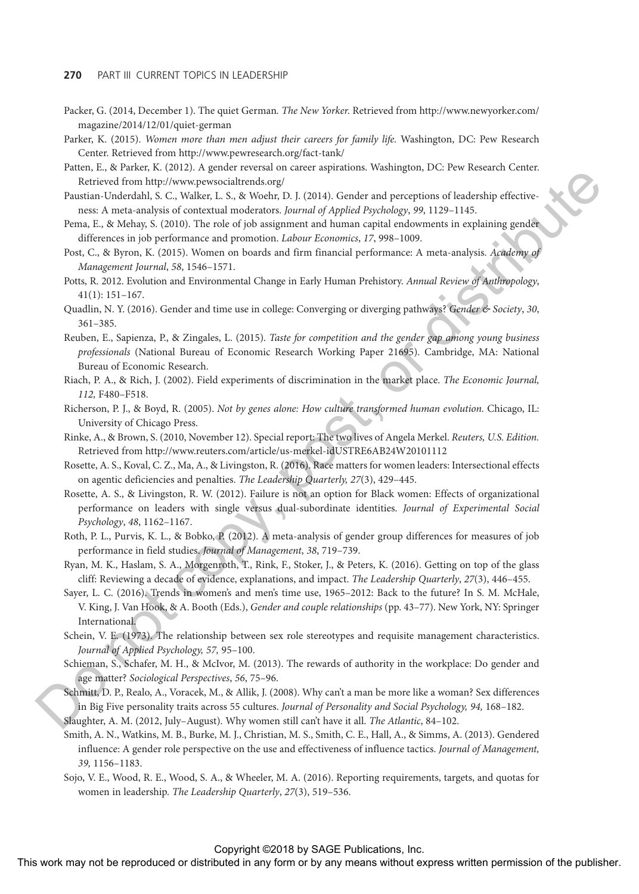- Packer, G. (2014, December 1). The quiet German*. The New Yorker.* Retrieved from http://www.newyorker.com/ magazine/2014/12/01/quiet-german
- Parker, K. (2015). *Women more than men adjust their careers for family life.* Washington, DC: Pew Research Center. Retrieved from http://www.pewresearch.org/fact-tank/
- Patten, E., & Parker, K. (2012). A gender reversal on career aspirations. Washington, DC: Pew Research Center. Retrieved from http://www.pewsocialtrends.org/
- Paustian-Underdahl, S. C., Walker, L. S., & Woehr, D. J. (2014). Gender and perceptions of leadership effectiveness: A meta-analysis of contextual moderators. *Journal of Applied Psychology*, *99*, 1129–1145.
- Pema, E., & Mehay, S. (2010). The role of job assignment and human capital endowments in explaining gender differences in job performance and promotion. *Labour Economics*, *17*, 998–1009.
- Post, C., & Byron, K. (2015). Women on boards and firm financial performance: A meta-analysis. *Academy of Management Journal*, *58*, 1546–1571.
- Potts, R. 2012. Evolution and Environmental Change in Early Human Prehistory. *Annual Review of Anthropology*, 41(1): 151–167.
- Quadlin, N. Y. (2016). Gender and time use in college: Converging or diverging pathways? *Gender & Society*, *30*, 361–385.
- Reuben, E., Sapienza, P., & Zingales, L. (2015). *Taste for competition and the gender gap among young business professionals* (National Bureau of Economic Research Working Paper 21695). Cambridge, MA: National Bureau of Economic Research.
- Riach, P. A., & Rich, J. (2002). Field experiments of discrimination in the market place. *The Economic Journal, 112,* F480–F518.
- Richerson, P. J., & Boyd, R. (2005). *Not by genes alone: How culture transformed human evolution.* Chicago, IL: University of Chicago Press.
- Rinke, A., & Brown, S. (2010, November 12). Special report: The two lives of Angela Merkel. *Reuters, U.S. Edition.* Retrieved from http://www.reuters.com/article/us-merkel-idUSTRE6AB24W20101112
- Rosette, A. S., Koval, C. Z., Ma, A., & Livingston, R. (2016). Race matters for women leaders: Intersectional effects on agentic deficiencies and penalties. *The Leadership Quarterly, 27*(3), 429–445.
- Rosette, A. S., & Livingston, R. W. (2012). Failure is not an option for Black women: Effects of organizational performance on leaders with single versus dual-subordinate identities. *Journal of Experimental Social Psychology*, *48*, 1162–1167. There is a may note that we represented the represented or distributed in any first work may not be reproduced to the reproduced or by any first with  $\alpha$  the results of the results of the publisher or distributed in any
	- Roth, P. L., Purvis, K. L., & Bobko, P. (2012). A meta-analysis of gender group differences for measures of job performance in field studies. *Journal of Management*, *38*, 719–739.
	- Ryan, M. K., Haslam, S. A., Morgenroth, T., Rink, F., Stoker, J., & Peters, K. (2016). Getting on top of the glass cliff: Reviewing a decade of evidence, explanations, and impact. *The Leadership Quarterly*, *27*(3), 446–455.
	- Sayer, L. C. (2016). Trends in women's and men's time use, 1965–2012: Back to the future? In S. M. McHale, V. King, J. Van Hook, & A. Booth (Eds.), *Gender and couple relationships* (pp. 43–77). New York, NY: Springer International.
	- Schein, V. E. (1973). The relationship between sex role stereotypes and requisite management characteristics. *Journal of Applied Psychology, 57,* 95–100.
	- Schieman, S., Schafer, M. H., & McIvor, M. (2013). The rewards of authority in the workplace: Do gender and age matter? *Sociological Perspectives*, *56*, 75–96.
	- Schmitt, D. P., Realo, A., Voracek, M., & Allik, J. (2008). Why can't a man be more like a woman? Sex differences in Big Five personality traits across 55 cultures. *Journal of Personality and Social Psychology, 94,* 168–182.
	- Slaughter, A. M. (2012, July–August). Why women still can't have it all. *The Atlantic*, 84–102.
	- Smith, A. N., Watkins, M. B., Burke, M. J., Christian, M. S., Smith, C. E., Hall, A., & Simms, A. (2013). Gendered influence: A gender role perspective on the use and effectiveness of influence tactics. *Journal of Management, 39,* 1156–1183.
	- Sojo, V. E., Wood, R. E., Wood, S. A., & Wheeler, M. A. (2016). Reporting requirements, targets, and quotas for women in leadership. *The Leadership Quarterly*, *27*(3), 519–536.